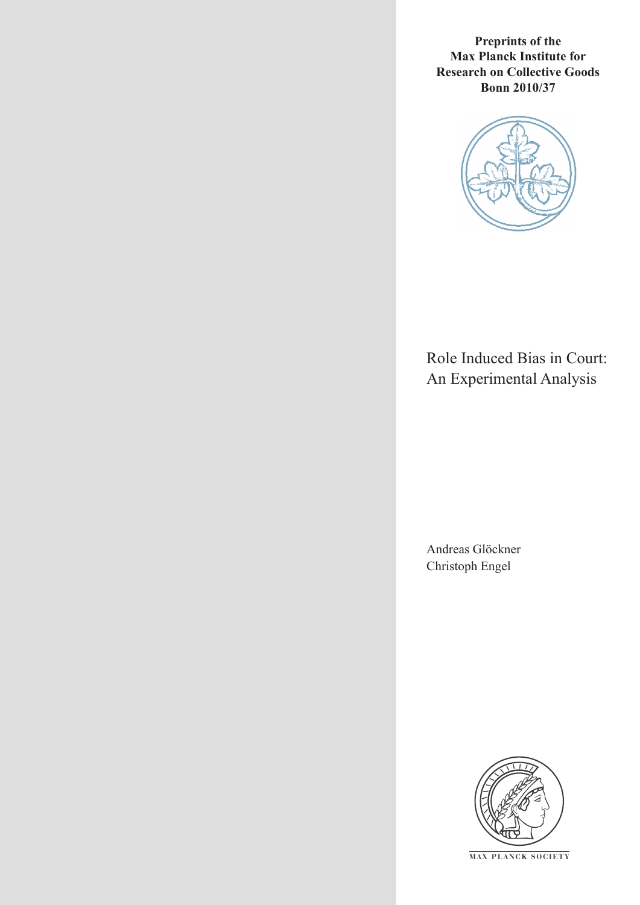**Preprints of the Max Planck Institute for Research on Collective Goods Bonn 2010/37**



# Role Induced Bias in Court: An Experimental Analysis

Andreas Glöckner Christoph Engel



**M AX PLANCK SOCIETY**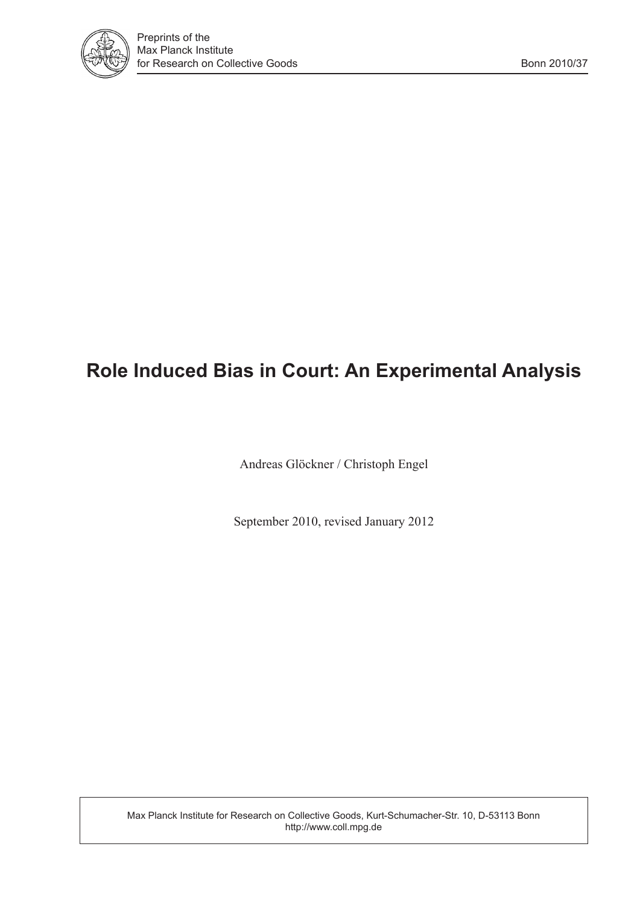

# **Role Induced Bias in Court: An Experimental Analysis**

Andreas Glöckner / Christoph Engel

September 2010, revised January 2012

Max Planck Institute for Research on Collective Goods, Kurt-Schumacher-Str. 10, D-53113 Bonn http://www.coll.mpg.de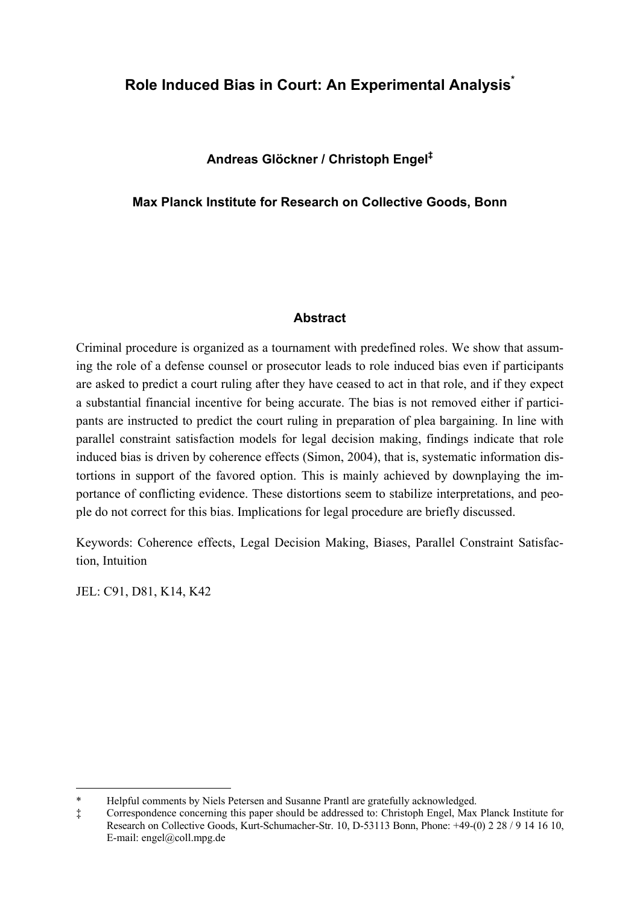# **Role Induced Bias in Court: An Experimental Analysis\***

## **Andreas Glöckner / Christoph Engel‡**

## **Max Planck Institute for Research on Collective Goods, Bonn**

## **Abstract**

Criminal procedure is organized as a tournament with predefined roles. We show that assuming the role of a defense counsel or prosecutor leads to role induced bias even if participants are asked to predict a court ruling after they have ceased to act in that role, and if they expect a substantial financial incentive for being accurate. The bias is not removed either if participants are instructed to predict the court ruling in preparation of plea bargaining. In line with parallel constraint satisfaction models for legal decision making, findings indicate that role induced bias is driven by coherence effects (Simon, 2004), that is, systematic information distortions in support of the favored option. This is mainly achieved by downplaying the importance of conflicting evidence. These distortions seem to stabilize interpretations, and people do not correct for this bias. Implications for legal procedure are briefly discussed.

Keywords: Coherence effects, Legal Decision Making, Biases, Parallel Constraint Satisfaction, Intuition

JEL: C91, D81, K14, K42

-

<sup>\*</sup> Helpful comments by Niels Petersen and Susanne Prantl are gratefully acknowledged.

<sup>‡</sup> Correspondence concerning this paper should be addressed to: Christoph Engel, Max Planck Institute for Research on Collective Goods, Kurt-Schumacher-Str. 10, D-53113 Bonn, Phone: +49-(0) 2 28 / 9 14 16 10, E-mail: engel@coll.mpg.de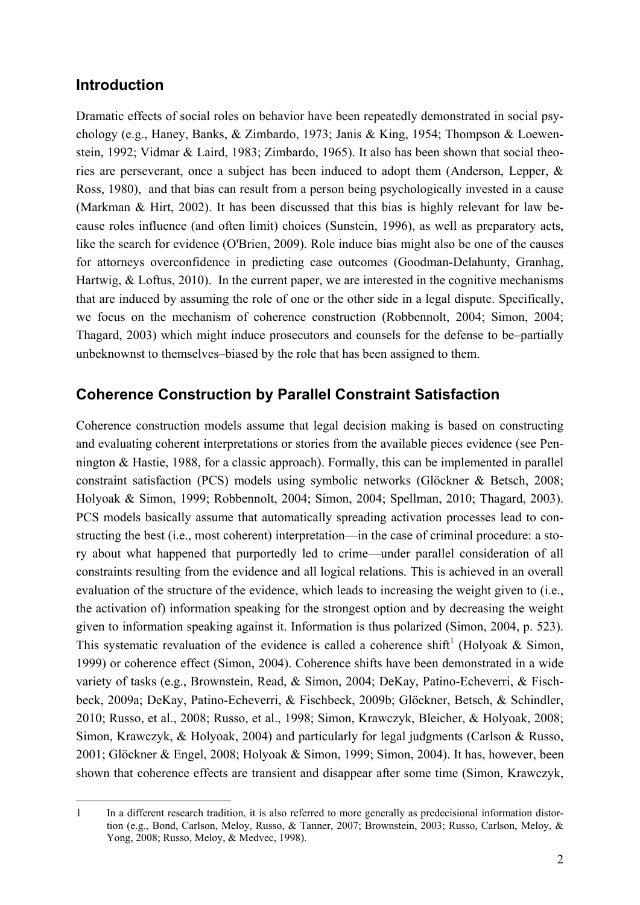# **Introduction**

Dramatic effects of social roles on behavior have been repeatedly demonstrated in social psychology (e.g., Haney, Banks, & Zimbardo, 1973; Janis & King, 1954; Thompson & Loewenstein, 1992; Vidmar & Laird, 1983; Zimbardo, 1965). It also has been shown that social theories are perseverant, once a subject has been induced to adopt them (Anderson, Lepper, & Ross, 1980), and that bias can result from a person being psychologically invested in a cause (Markman & Hirt, 2002). It has been discussed that this bias is highly relevant for law because roles influence (and often limit) choices (Sunstein, 1996), as well as preparatory acts, like the search for evidence (O'Brien, 2009). Role induce bias might also be one of the causes for attorneys overconfidence in predicting case outcomes (Goodman-Delahunty, Granhag, Hartwig, & Loftus, 2010). In the current paper, we are interested in the cognitive mechanisms that are induced by assuming the role of one or the other side in a legal dispute. Specifically, we focus on the mechanism of coherence construction (Robbennolt, 2004; Simon, 2004; Thagard, 2003) which might induce prosecutors and counsels for the defense to be–partially unbeknownst to themselves–biased by the role that has been assigned to them.

# **Coherence Construction by Parallel Constraint Satisfaction**

Coherence construction models assume that legal decision making is based on constructing and evaluating coherent interpretations or stories from the available pieces evidence (see Pennington & Hastie, 1988, for a classic approach). Formally, this can be implemented in parallel constraint satisfaction (PCS) models using symbolic networks (Glöckner & Betsch, 2008; Holyoak & Simon, 1999; Robbennolt, 2004; Simon, 2004; Spellman, 2010; Thagard, 2003). PCS models basically assume that automatically spreading activation processes lead to constructing the best (i.e., most coherent) interpretation—in the case of criminal procedure: a story about what happened that purportedly led to crime—under parallel consideration of all constraints resulting from the evidence and all logical relations. This is achieved in an overall evaluation of the structure of the evidence, which leads to increasing the weight given to (i.e., the activation of) information speaking for the strongest option and by decreasing the weight given to information speaking against it. Information is thus polarized (Simon, 2004, p. 523). This systematic revaluation of the evidence is called a coherence shift<sup>1</sup> (Holyoak & Simon, 1999) or coherence effect (Simon, 2004). Coherence shifts have been demonstrated in a wide variety of tasks (e.g., Brownstein, Read, & Simon, 2004; DeKay, Patino-Echeverri, & Fischbeck, 2009a; DeKay, Patino-Echeverri, & Fischbeck, 2009b; Glöckner, Betsch, & Schindler, 2010; Russo, et al., 2008; Russo, et al., 1998; Simon, Krawczyk, Bleicher, & Holyoak, 2008; Simon, Krawczyk, & Holyoak, 2004) and particularly for legal judgments (Carlson & Russo, 2001; Glöckner & Engel, 2008; Holyoak & Simon, 1999; Simon, 2004). It has, however, been shown that coherence effects are transient and disappear after some time (Simon, Krawczyk,

<sup>-</sup>1 In a different research tradition, it is also referred to more generally as predecisional information distortion (e.g., Bond, Carlson, Meloy, Russo, & Tanner, 2007; Brownstein, 2003; Russo, Carlson, Meloy, & Yong, 2008; Russo, Meloy, & Medvec, 1998).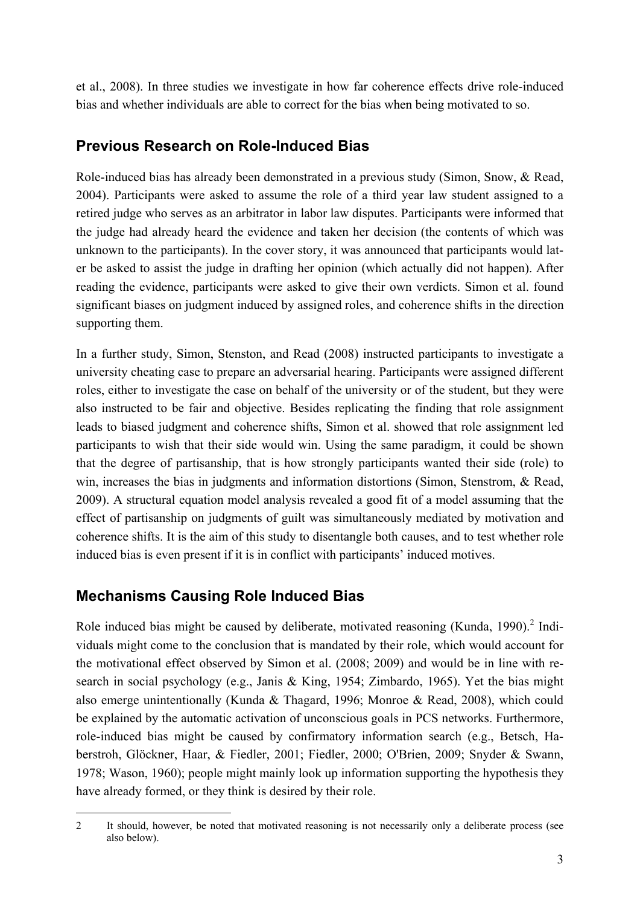et al., 2008). In three studies we investigate in how far coherence effects drive role-induced bias and whether individuals are able to correct for the bias when being motivated to so.

# **Previous Research on Role-Induced Bias**

Role-induced bias has already been demonstrated in a previous study (Simon, Snow, & Read, 2004). Participants were asked to assume the role of a third year law student assigned to a retired judge who serves as an arbitrator in labor law disputes. Participants were informed that the judge had already heard the evidence and taken her decision (the contents of which was unknown to the participants). In the cover story, it was announced that participants would later be asked to assist the judge in drafting her opinion (which actually did not happen). After reading the evidence, participants were asked to give their own verdicts. Simon et al. found significant biases on judgment induced by assigned roles, and coherence shifts in the direction supporting them.

In a further study, Simon, Stenston, and Read (2008) instructed participants to investigate a university cheating case to prepare an adversarial hearing. Participants were assigned different roles, either to investigate the case on behalf of the university or of the student, but they were also instructed to be fair and objective. Besides replicating the finding that role assignment leads to biased judgment and coherence shifts, Simon et al. showed that role assignment led participants to wish that their side would win. Using the same paradigm, it could be shown that the degree of partisanship, that is how strongly participants wanted their side (role) to win, increases the bias in judgments and information distortions (Simon, Stenstrom, & Read, 2009). A structural equation model analysis revealed a good fit of a model assuming that the effect of partisanship on judgments of guilt was simultaneously mediated by motivation and coherence shifts. It is the aim of this study to disentangle both causes, and to test whether role induced bias is even present if it is in conflict with participants' induced motives.

# **Mechanisms Causing Role Induced Bias**

-

Role induced bias might be caused by deliberate, motivated reasoning (Kunda, 1990).<sup>2</sup> Individuals might come to the conclusion that is mandated by their role, which would account for the motivational effect observed by Simon et al. (2008; 2009) and would be in line with research in social psychology (e.g., Janis & King, 1954; Zimbardo, 1965). Yet the bias might also emerge unintentionally (Kunda & Thagard, 1996; Monroe & Read, 2008), which could be explained by the automatic activation of unconscious goals in PCS networks. Furthermore, role-induced bias might be caused by confirmatory information search (e.g., Betsch, Haberstroh, Glöckner, Haar, & Fiedler, 2001; Fiedler, 2000; O'Brien, 2009; Snyder & Swann, 1978; Wason, 1960); people might mainly look up information supporting the hypothesis they have already formed, or they think is desired by their role.

<sup>2</sup> It should, however, be noted that motivated reasoning is not necessarily only a deliberate process (see also below).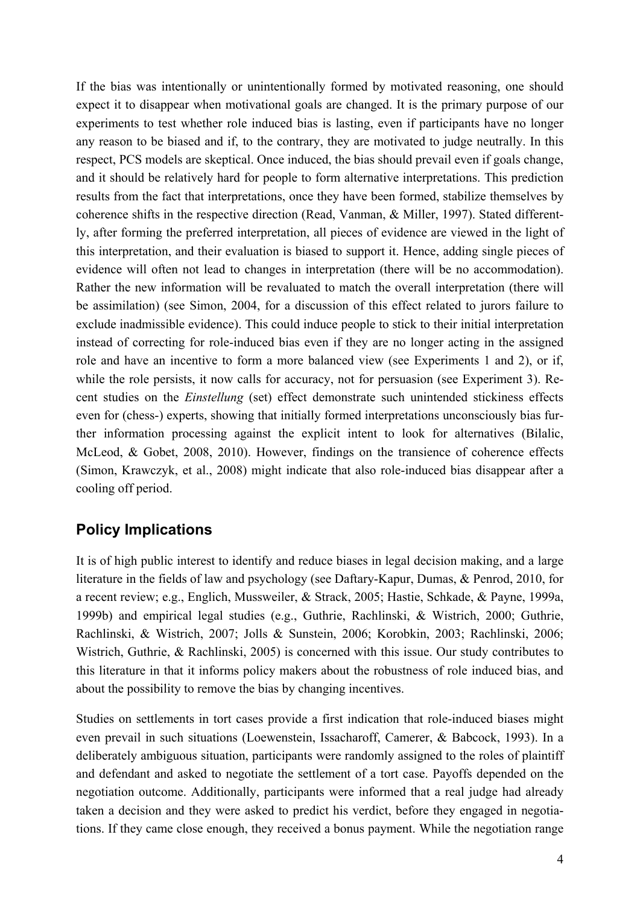If the bias was intentionally or unintentionally formed by motivated reasoning, one should expect it to disappear when motivational goals are changed. It is the primary purpose of our experiments to test whether role induced bias is lasting, even if participants have no longer any reason to be biased and if, to the contrary, they are motivated to judge neutrally. In this respect, PCS models are skeptical. Once induced, the bias should prevail even if goals change, and it should be relatively hard for people to form alternative interpretations. This prediction results from the fact that interpretations, once they have been formed, stabilize themselves by coherence shifts in the respective direction (Read, Vanman, & Miller, 1997). Stated differently, after forming the preferred interpretation, all pieces of evidence are viewed in the light of this interpretation, and their evaluation is biased to support it. Hence, adding single pieces of evidence will often not lead to changes in interpretation (there will be no accommodation). Rather the new information will be revaluated to match the overall interpretation (there will be assimilation) (see Simon, 2004, for a discussion of this effect related to jurors failure to exclude inadmissible evidence). This could induce people to stick to their initial interpretation instead of correcting for role-induced bias even if they are no longer acting in the assigned role and have an incentive to form a more balanced view (see Experiments 1 and 2), or if, while the role persists, it now calls for accuracy, not for persuasion (see Experiment 3). Recent studies on the *Einstellung* (set) effect demonstrate such unintended stickiness effects even for (chess-) experts, showing that initially formed interpretations unconsciously bias further information processing against the explicit intent to look for alternatives (Bilalic, McLeod, & Gobet, 2008, 2010). However, findings on the transience of coherence effects (Simon, Krawczyk, et al., 2008) might indicate that also role-induced bias disappear after a cooling off period.

# **Policy Implications**

It is of high public interest to identify and reduce biases in legal decision making, and a large literature in the fields of law and psychology (see Daftary-Kapur, Dumas, & Penrod, 2010, for a recent review; e.g., Englich, Mussweiler, & Strack, 2005; Hastie, Schkade, & Payne, 1999a, 1999b) and empirical legal studies (e.g., Guthrie, Rachlinski, & Wistrich, 2000; Guthrie, Rachlinski, & Wistrich, 2007; Jolls & Sunstein, 2006; Korobkin, 2003; Rachlinski, 2006; Wistrich, Guthrie, & Rachlinski, 2005) is concerned with this issue. Our study contributes to this literature in that it informs policy makers about the robustness of role induced bias, and about the possibility to remove the bias by changing incentives.

Studies on settlements in tort cases provide a first indication that role-induced biases might even prevail in such situations (Loewenstein, Issacharoff, Camerer, & Babcock, 1993). In a deliberately ambiguous situation, participants were randomly assigned to the roles of plaintiff and defendant and asked to negotiate the settlement of a tort case. Payoffs depended on the negotiation outcome. Additionally, participants were informed that a real judge had already taken a decision and they were asked to predict his verdict, before they engaged in negotiations. If they came close enough, they received a bonus payment. While the negotiation range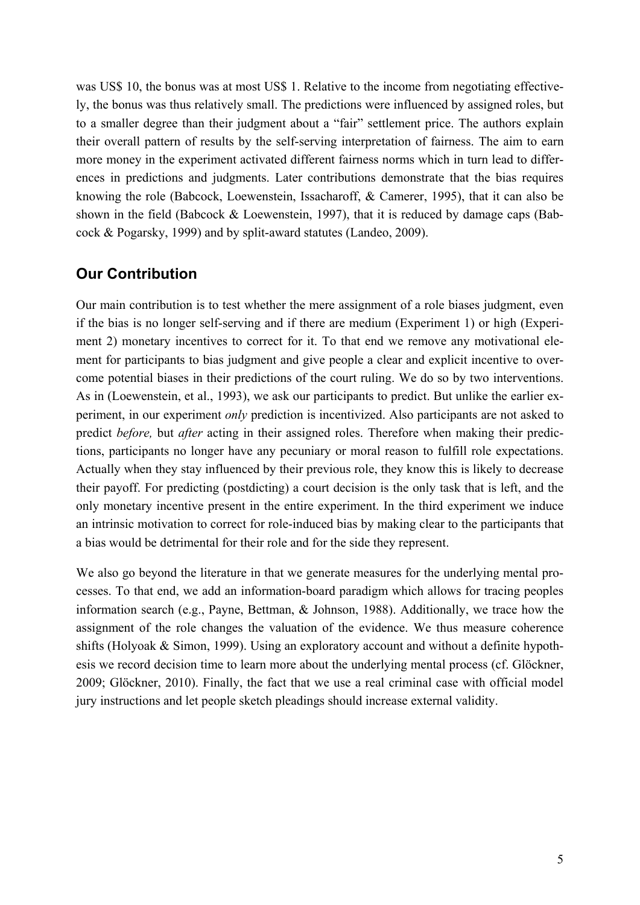was US\$ 10, the bonus was at most US\$ 1. Relative to the income from negotiating effectively, the bonus was thus relatively small. The predictions were influenced by assigned roles, but to a smaller degree than their judgment about a "fair" settlement price. The authors explain their overall pattern of results by the self-serving interpretation of fairness. The aim to earn more money in the experiment activated different fairness norms which in turn lead to differences in predictions and judgments. Later contributions demonstrate that the bias requires knowing the role (Babcock, Loewenstein, Issacharoff, & Camerer, 1995), that it can also be shown in the field (Babcock & Loewenstein, 1997), that it is reduced by damage caps (Babcock & Pogarsky, 1999) and by split-award statutes (Landeo, 2009).

## **Our Contribution**

Our main contribution is to test whether the mere assignment of a role biases judgment, even if the bias is no longer self-serving and if there are medium (Experiment 1) or high (Experiment 2) monetary incentives to correct for it. To that end we remove any motivational element for participants to bias judgment and give people a clear and explicit incentive to overcome potential biases in their predictions of the court ruling. We do so by two interventions. As in (Loewenstein, et al., 1993), we ask our participants to predict. But unlike the earlier experiment, in our experiment *only* prediction is incentivized. Also participants are not asked to predict *before,* but *after* acting in their assigned roles. Therefore when making their predictions, participants no longer have any pecuniary or moral reason to fulfill role expectations. Actually when they stay influenced by their previous role, they know this is likely to decrease their payoff. For predicting (postdicting) a court decision is the only task that is left, and the only monetary incentive present in the entire experiment. In the third experiment we induce an intrinsic motivation to correct for role-induced bias by making clear to the participants that a bias would be detrimental for their role and for the side they represent.

We also go beyond the literature in that we generate measures for the underlying mental processes. To that end, we add an information-board paradigm which allows for tracing peoples information search (e.g., Payne, Bettman, & Johnson, 1988). Additionally, we trace how the assignment of the role changes the valuation of the evidence. We thus measure coherence shifts (Holyoak & Simon, 1999). Using an exploratory account and without a definite hypothesis we record decision time to learn more about the underlying mental process (cf. Glöckner, 2009; Glöckner, 2010). Finally, the fact that we use a real criminal case with official model jury instructions and let people sketch pleadings should increase external validity.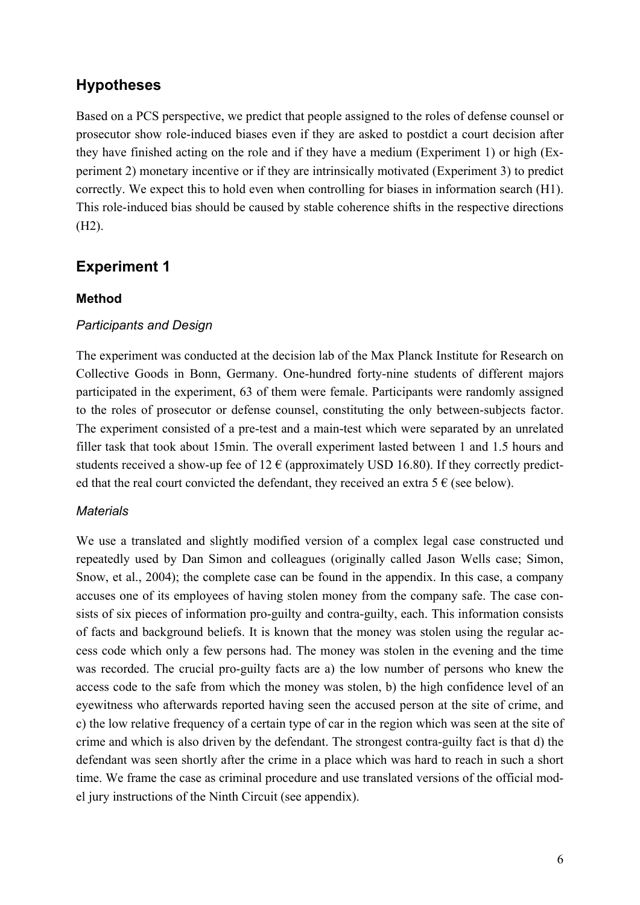# **Hypotheses**

Based on a PCS perspective, we predict that people assigned to the roles of defense counsel or prosecutor show role-induced biases even if they are asked to postdict a court decision after they have finished acting on the role and if they have a medium (Experiment 1) or high (Experiment 2) monetary incentive or if they are intrinsically motivated (Experiment 3) to predict correctly. We expect this to hold even when controlling for biases in information search (H1). This role-induced bias should be caused by stable coherence shifts in the respective directions (H2).

# **Experiment 1**

## **Method**

## *Participants and Design*

The experiment was conducted at the decision lab of the Max Planck Institute for Research on Collective Goods in Bonn, Germany. One-hundred forty-nine students of different majors participated in the experiment, 63 of them were female. Participants were randomly assigned to the roles of prosecutor or defense counsel, constituting the only between-subjects factor. The experiment consisted of a pre-test and a main-test which were separated by an unrelated filler task that took about 15min. The overall experiment lasted between 1 and 1.5 hours and students received a show-up fee of  $12 \in$  (approximately USD 16.80). If they correctly predicted that the real court convicted the defendant, they received an extra  $5 \in$  (see below).

## *Materials*

We use a translated and slightly modified version of a complex legal case constructed und repeatedly used by Dan Simon and colleagues (originally called Jason Wells case; Simon, Snow, et al., 2004); the complete case can be found in the appendix. In this case, a company accuses one of its employees of having stolen money from the company safe. The case consists of six pieces of information pro-guilty and contra-guilty, each. This information consists of facts and background beliefs. It is known that the money was stolen using the regular access code which only a few persons had. The money was stolen in the evening and the time was recorded. The crucial pro-guilty facts are a) the low number of persons who knew the access code to the safe from which the money was stolen, b) the high confidence level of an eyewitness who afterwards reported having seen the accused person at the site of crime, and c) the low relative frequency of a certain type of car in the region which was seen at the site of crime and which is also driven by the defendant. The strongest contra-guilty fact is that d) the defendant was seen shortly after the crime in a place which was hard to reach in such a short time. We frame the case as criminal procedure and use translated versions of the official model jury instructions of the Ninth Circuit (see appendix).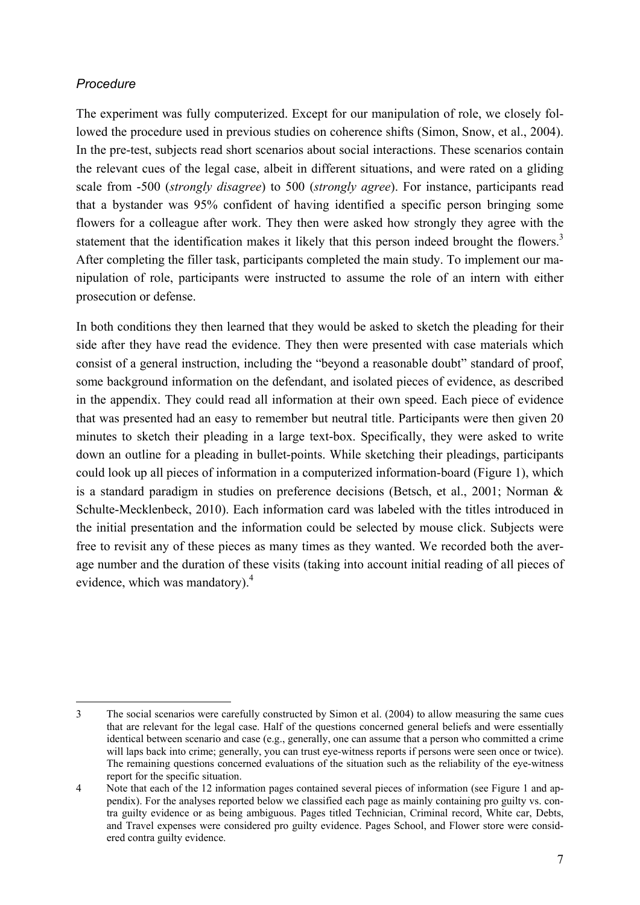## *Procedure*

The experiment was fully computerized. Except for our manipulation of role, we closely followed the procedure used in previous studies on coherence shifts (Simon, Snow, et al., 2004). In the pre-test, subjects read short scenarios about social interactions. These scenarios contain the relevant cues of the legal case, albeit in different situations, and were rated on a gliding scale from -500 (*strongly disagree*) to 500 (*strongly agree*). For instance, participants read that a bystander was 95% confident of having identified a specific person bringing some flowers for a colleague after work. They then were asked how strongly they agree with the statement that the identification makes it likely that this person indeed brought the flowers.<sup>3</sup> After completing the filler task, participants completed the main study. To implement our manipulation of role, participants were instructed to assume the role of an intern with either prosecution or defense.

In both conditions they then learned that they would be asked to sketch the pleading for their side after they have read the evidence. They then were presented with case materials which consist of a general instruction, including the "beyond a reasonable doubt" standard of proof, some background information on the defendant, and isolated pieces of evidence, as described in the appendix. They could read all information at their own speed. Each piece of evidence that was presented had an easy to remember but neutral title. Participants were then given 20 minutes to sketch their pleading in a large text-box. Specifically, they were asked to write down an outline for a pleading in bullet-points. While sketching their pleadings, participants could look up all pieces of information in a computerized information-board (Figure 1), which is a standard paradigm in studies on preference decisions (Betsch, et al., 2001; Norman & Schulte-Mecklenbeck, 2010). Each information card was labeled with the titles introduced in the initial presentation and the information could be selected by mouse click. Subjects were free to revisit any of these pieces as many times as they wanted. We recorded both the average number and the duration of these visits (taking into account initial reading of all pieces of evidence, which was mandatory).<sup>4</sup>

<sup>-</sup>3 The social scenarios were carefully constructed by Simon et al. (2004) to allow measuring the same cues that are relevant for the legal case. Half of the questions concerned general beliefs and were essentially identical between scenario and case (e.g., generally, one can assume that a person who committed a crime will laps back into crime; generally, you can trust eye-witness reports if persons were seen once or twice). The remaining questions concerned evaluations of the situation such as the reliability of the eye-witness report for the specific situation.

<sup>4</sup> Note that each of the 12 information pages contained several pieces of information (see Figure 1 and appendix). For the analyses reported below we classified each page as mainly containing pro guilty vs. contra guilty evidence or as being ambiguous. Pages titled Technician, Criminal record, White car, Debts, and Travel expenses were considered pro guilty evidence. Pages School, and Flower store were considered contra guilty evidence.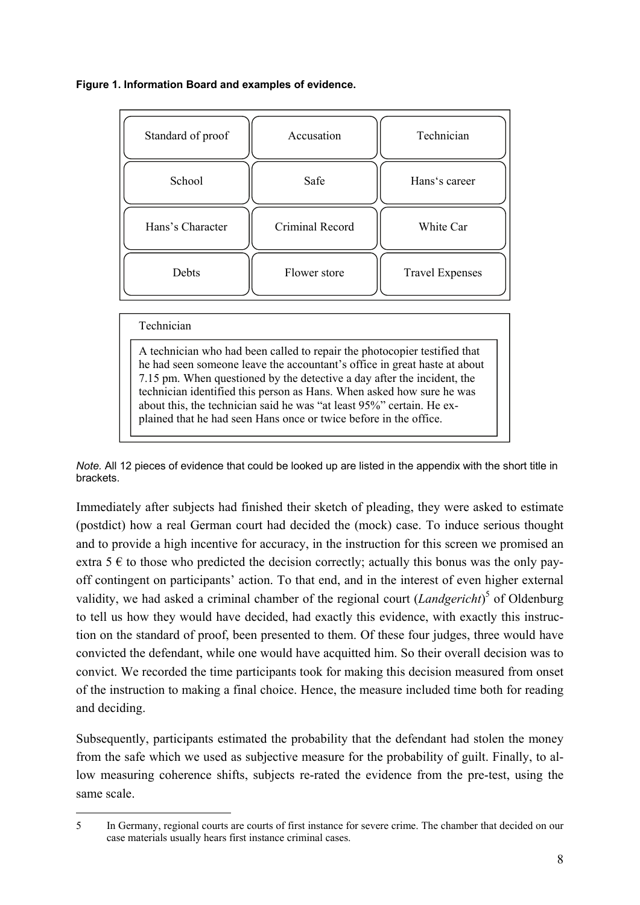## **Figure 1. Information Board and examples of evidence.**



## Technician

-

A technician who had been called to repair the photocopier testified that he had seen someone leave the accountant's office in great haste at about 7.15 pm. When questioned by the detective a day after the incident, the technician identified this person as Hans. When asked how sure he was about this, the technician said he was "at least 95%" certain. He explained that he had seen Hans once or twice before in the office.

*Note.* All 12 pieces of evidence that could be looked up are listed in the appendix with the short title in brackets.

Immediately after subjects had finished their sketch of pleading, they were asked to estimate (postdict) how a real German court had decided the (mock) case. To induce serious thought and to provide a high incentive for accuracy, in the instruction for this screen we promised an extra  $5 \notin$  to those who predicted the decision correctly; actually this bonus was the only payoff contingent on participants' action. To that end, and in the interest of even higher external validity, we had asked a criminal chamber of the regional court  $(Landgericht)^5$  of Oldenburg to tell us how they would have decided, had exactly this evidence, with exactly this instruction on the standard of proof, been presented to them. Of these four judges, three would have convicted the defendant, while one would have acquitted him. So their overall decision was to convict. We recorded the time participants took for making this decision measured from onset of the instruction to making a final choice. Hence, the measure included time both for reading and deciding.

Subsequently, participants estimated the probability that the defendant had stolen the money from the safe which we used as subjective measure for the probability of guilt. Finally, to allow measuring coherence shifts, subjects re-rated the evidence from the pre-test, using the same scale.

<sup>5</sup> In Germany, regional courts are courts of first instance for severe crime. The chamber that decided on our case materials usually hears first instance criminal cases.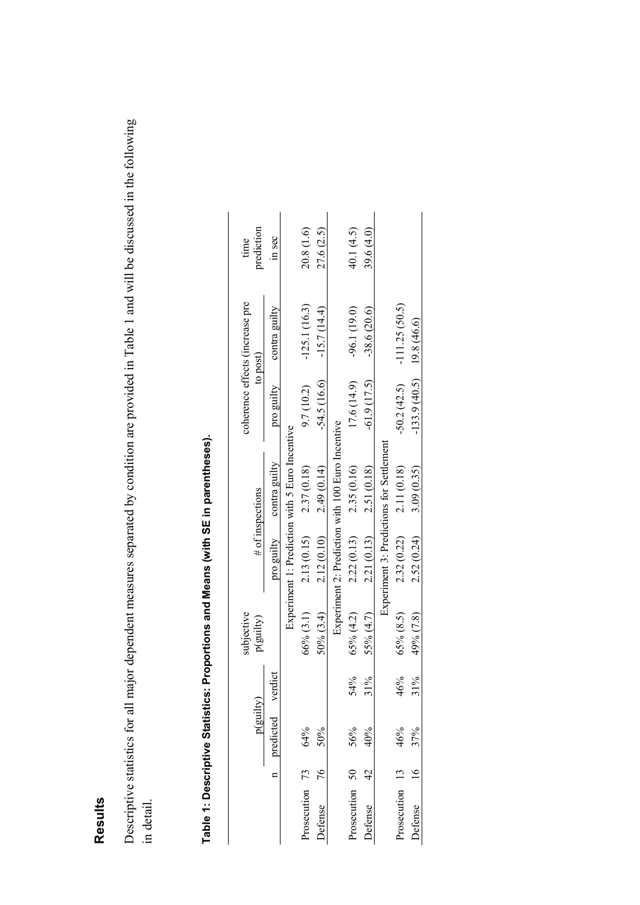# **Results Results**

Descriptive statistics for all major dependent measures separated by condition are provided in Table 1 and will be discussed in the following Descriptive statistics for all major dependent measures separated by condition are provided in Table 1 and will be discussed in the following in detail. in detail.

| time                            | prediction       | in sec              |                                                | 20.8(1.6)      | 27.6 (2.5)     |                                                  | 40.1 (4.5)              | 39.6 (4.0)     |                                          |                 |                           |
|---------------------------------|------------------|---------------------|------------------------------------------------|----------------|----------------|--------------------------------------------------|-------------------------|----------------|------------------------------------------|-----------------|---------------------------|
| coherence effects (increase pre | to post)         | contra guilty       |                                                | $-125.1(16.3)$ | $-15.7(14.4)$  |                                                  | $-96.1(19.0)$           | $-38.6(20.6)$  |                                          | $-111.25(50.5)$ |                           |
|                                 |                  | pro guilty          |                                                | 9.7 (10.2)     | $-54.5(16.6)$  |                                                  | 17.6(14.9)              | $-61.9(17.5)$  |                                          | $-50.2(42.5)$   | $133.9(40.5)$ 19.8 (46.6) |
|                                 | # of inspections | contra guilty       | Experiment 1: Prediction with 5 Euro Incentive | 2.37 (0.18)    | 2.49(0.14)     | Experiment 2: Prediction with 100 Euro Incentive | 2.35 (0.16)             | 2.51 (0.18)    | Experiment 3: Predictions for Settlement | 2.11 (0.18)     | 3.09 (0.35)               |
|                                 |                  | pro guilty          |                                                | 2.13 (0.15)    | 2.12 (0.10)    |                                                  | 2.22(0.13)              | 2.21 (0.13)    |                                          | 2.32 (0.22)     | 2.52 (0.24)               |
| subjective                      | p(guilty)        |                     |                                                | 66% (3.1)      | $50\%$ $(3.4)$ |                                                  | 65% (4.2)               | 55% (4.7)      |                                          | 65% (8.5)       | 49% (7.8)                 |
|                                 |                  |                     |                                                |                |                |                                                  | 54%                     | $1\%$          |                                          | 46%             | $1\%$                     |
|                                 | p(guilty)        | n predicted verdict |                                                | 64%            | 50%            |                                                  |                         | 40%            |                                          | 46%             | 37%                       |
|                                 |                  |                     |                                                |                | 76             |                                                  |                         |                |                                          |                 |                           |
|                                 |                  |                     |                                                | Prosecution 73 | Defense        |                                                  | Prosecution $50$ $56\%$ | <b>Defense</b> |                                          | Prosecution 13  | Defense                   |

# Table 1: Descriptive Statistics: Proportions and Means (with SE in parentheses). **Table 1: Descriptive Statistics: Proportions and Means (with SE in parentheses).**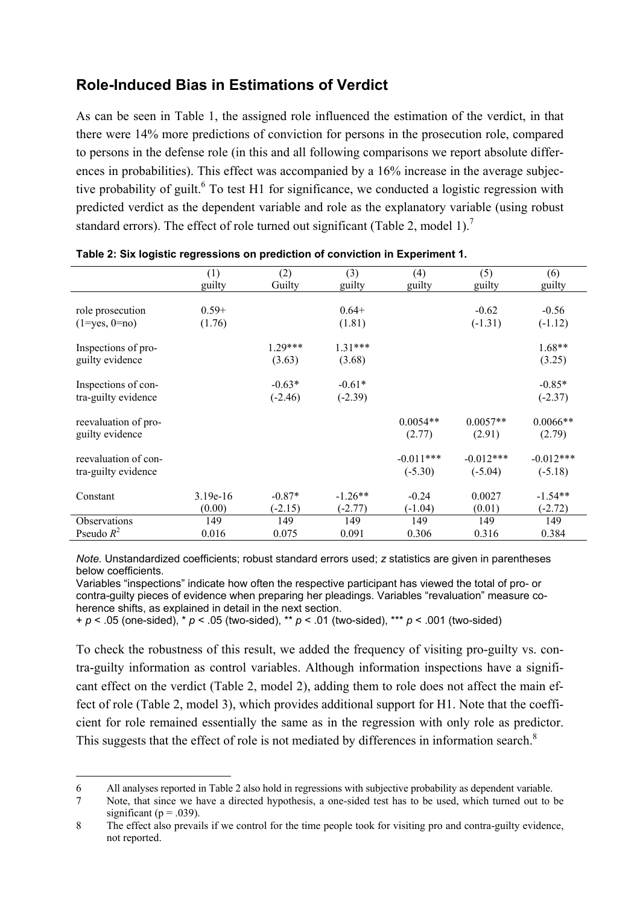# **Role-Induced Bias in Estimations of Verdict**

As can be seen in Table 1, the assigned role influenced the estimation of the verdict, in that there were 14% more predictions of conviction for persons in the prosecution role, compared to persons in the defense role (in this and all following comparisons we report absolute differences in probabilities). This effect was accompanied by a 16% increase in the average subjective probability of guilt.<sup>6</sup> To test H1 for significance, we conducted a logistic regression with predicted verdict as the dependent variable and role as the explanatory variable (using robust standard errors). The effect of role turned out significant (Table 2, model 1).<sup>7</sup>

|                                             | (1)<br>guilty        | (2)<br>Guilty         | (3)<br>guilty          | (4)<br>guilty            | (5)<br>guilty            | (6)<br>guilty            |
|---------------------------------------------|----------------------|-----------------------|------------------------|--------------------------|--------------------------|--------------------------|
| role prosecution<br>$(1 = yes, 0 = no)$     | $0.59+$<br>(1.76)    |                       | $0.64+$<br>(1.81)      |                          | $-0.62$<br>$(-1.31)$     | $-0.56$<br>$(-1.12)$     |
| Inspections of pro-<br>guilty evidence      |                      | $1.29***$<br>(3.63)   | $1.31***$<br>(3.68)    |                          |                          | $1.68**$<br>(3.25)       |
| Inspections of con-<br>tra-guilty evidence  |                      | $-0.63*$<br>$(-2.46)$ | $-0.61*$<br>$(-2.39)$  |                          |                          | $-0.85*$<br>$(-2.37)$    |
| reevaluation of pro-<br>guilty evidence     |                      |                       |                        | $0.0054**$<br>(2.77)     | $0.0057**$<br>(2.91)     | $0.0066**$<br>(2.79)     |
| reevaluation of con-<br>tra-guilty evidence |                      |                       |                        | $-0.011***$<br>$(-5.30)$ | $-0.012***$<br>$(-5.04)$ | $-0.012***$<br>$(-5.18)$ |
| Constant                                    | $3.19e-16$<br>(0.00) | $-0.87*$<br>$(-2.15)$ | $-1.26**$<br>$(-2.77)$ | $-0.24$<br>$(-1.04)$     | 0.0027<br>(0.01)         | $-1.54**$<br>$(-2.72)$   |
| <b>Observations</b><br>Pseudo $R^2$         | 149<br>0.016         | 149<br>0.075          | 149<br>0.091           | 149<br>0.306             | 149<br>0.316             | 149<br>0.384             |

|  |  | Table 2: Six logistic regressions on prediction of conviction in Experiment 1. |  |
|--|--|--------------------------------------------------------------------------------|--|
|  |  |                                                                                |  |

*Note.* Unstandardized coefficients; robust standard errors used; *z* statistics are given in parentheses below coefficients.

Variables "inspections" indicate how often the respective participant has viewed the total of pro- or contra-guilty pieces of evidence when preparing her pleadings. Variables "revaluation" measure coherence shifts, as explained in detail in the next section.

+ *p* < .05 (one-sided), \* *p* < .05 (two-sided), \*\* *p* < .01 (two-sided), \*\*\* *p* < .001 (two-sided)

To check the robustness of this result, we added the frequency of visiting pro-guilty vs. contra-guilty information as control variables. Although information inspections have a significant effect on the verdict (Table 2, model 2), adding them to role does not affect the main effect of role (Table 2, model 3), which provides additional support for H1. Note that the coefficient for role remained essentially the same as in the regression with only role as predictor. This suggests that the effect of role is not mediated by differences in information search.<sup>8</sup>

<sup>-</sup>6 All analyses reported in Table 2 also hold in regressions with subjective probability as dependent variable.

<sup>7</sup> Note, that since we have a directed hypothesis, a one-sided test has to be used, which turned out to be significant ( $p = .039$ ).

<sup>8</sup> The effect also prevails if we control for the time people took for visiting pro and contra-guilty evidence, not reported.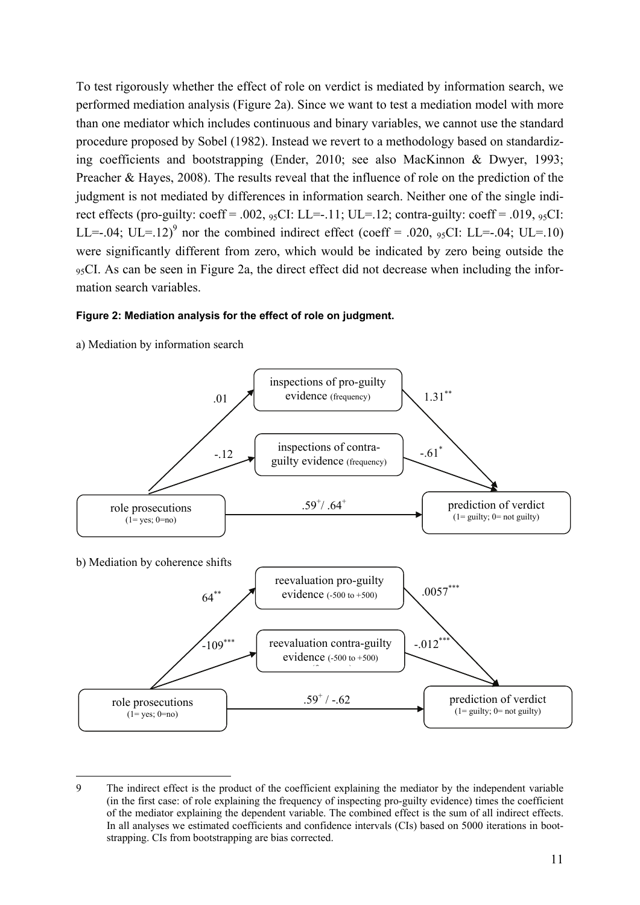To test rigorously whether the effect of role on verdict is mediated by information search, we performed mediation analysis (Figure 2a). Since we want to test a mediation model with more than one mediator which includes continuous and binary variables, we cannot use the standard procedure proposed by Sobel (1982). Instead we revert to a methodology based on standardizing coefficients and bootstrapping (Ender, 2010; see also MacKinnon & Dwyer, 1993; Preacher & Hayes, 2008). The results reveal that the influence of role on the prediction of the judgment is not mediated by differences in information search. Neither one of the single indirect effects (pro-guilty: coeff = .002,  $_{95}$ CI: LL=-.11; UL=.12; contra-guilty: coeff = .019,  $_{95}$ CI: LL=-.04; UL=.12)<sup>9</sup> nor the combined indirect effect (coeff = .020,  $_{95}CI$ : LL=-.04; UL=.10) were significantly different from zero, which would be indicated by zero being outside the 95CI. As can be seen in Figure 2a, the direct effect did not decrease when including the information search variables.

#### **Figure 2: Mediation analysis for the effect of role on judgment.**

a) Mediation by information search

-



<sup>9</sup> The indirect effect is the product of the coefficient explaining the mediator by the independent variable (in the first case: of role explaining the frequency of inspecting pro-guilty evidence) times the coefficient of the mediator explaining the dependent variable. The combined effect is the sum of all indirect effects. In all analyses we estimated coefficients and confidence intervals (CIs) based on 5000 iterations in bootstrapping. CIs from bootstrapping are bias corrected.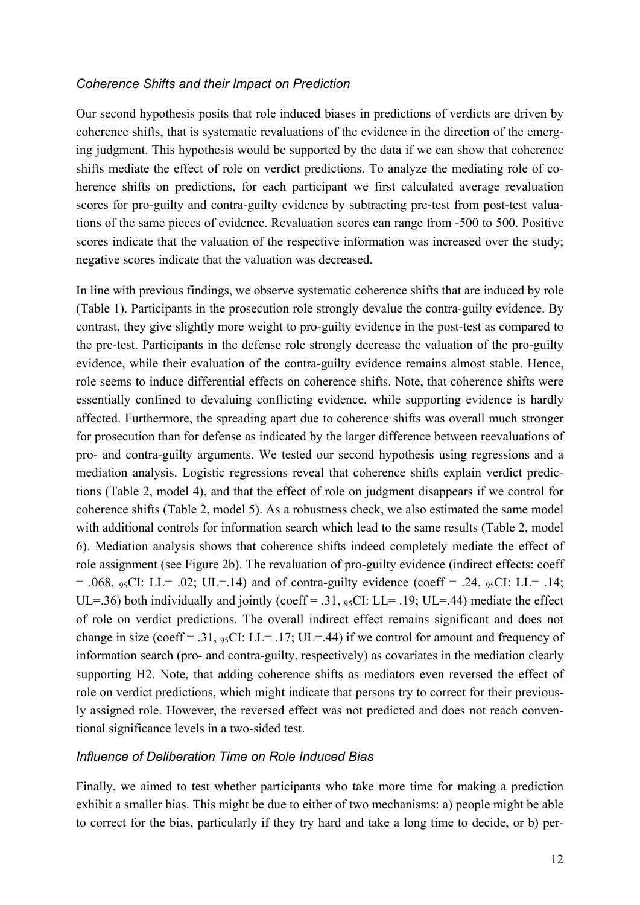#### *Coherence Shifts and their Impact on Prediction*

Our second hypothesis posits that role induced biases in predictions of verdicts are driven by coherence shifts, that is systematic revaluations of the evidence in the direction of the emerging judgment. This hypothesis would be supported by the data if we can show that coherence shifts mediate the effect of role on verdict predictions. To analyze the mediating role of coherence shifts on predictions, for each participant we first calculated average revaluation scores for pro-guilty and contra-guilty evidence by subtracting pre-test from post-test valuations of the same pieces of evidence. Revaluation scores can range from -500 to 500. Positive scores indicate that the valuation of the respective information was increased over the study; negative scores indicate that the valuation was decreased.

In line with previous findings, we observe systematic coherence shifts that are induced by role (Table 1). Participants in the prosecution role strongly devalue the contra-guilty evidence. By contrast, they give slightly more weight to pro-guilty evidence in the post-test as compared to the pre-test. Participants in the defense role strongly decrease the valuation of the pro-guilty evidence, while their evaluation of the contra-guilty evidence remains almost stable. Hence, role seems to induce differential effects on coherence shifts. Note, that coherence shifts were essentially confined to devaluing conflicting evidence, while supporting evidence is hardly affected. Furthermore, the spreading apart due to coherence shifts was overall much stronger for prosecution than for defense as indicated by the larger difference between reevaluations of pro- and contra-guilty arguments. We tested our second hypothesis using regressions and a mediation analysis. Logistic regressions reveal that coherence shifts explain verdict predictions (Table 2, model 4), and that the effect of role on judgment disappears if we control for coherence shifts (Table 2, model 5). As a robustness check, we also estimated the same model with additional controls for information search which lead to the same results (Table 2, model 6). Mediation analysis shows that coherence shifts indeed completely mediate the effect of role assignment (see Figure 2b). The revaluation of pro-guilty evidence (indirect effects: coeff = .068,  $_{95}CI$ : LL= .02; UL=.14) and of contra-guilty evidence (coeff = .24,  $_{95}CI$ : LL= .14; UL=.36) both individually and jointly (coeff = .31,  $_{95}$ CI: LL= .19; UL=.44) mediate the effect of role on verdict predictions. The overall indirect effect remains significant and does not change in size (coeff = .31,  $_{95}$ CI: LL= .17; UL=.44) if we control for amount and frequency of information search (pro- and contra-guilty, respectively) as covariates in the mediation clearly supporting H2. Note, that adding coherence shifts as mediators even reversed the effect of role on verdict predictions, which might indicate that persons try to correct for their previously assigned role. However, the reversed effect was not predicted and does not reach conventional significance levels in a two-sided test.

## *Influence of Deliberation Time on Role Induced Bias*

Finally, we aimed to test whether participants who take more time for making a prediction exhibit a smaller bias. This might be due to either of two mechanisms: a) people might be able to correct for the bias, particularly if they try hard and take a long time to decide, or b) per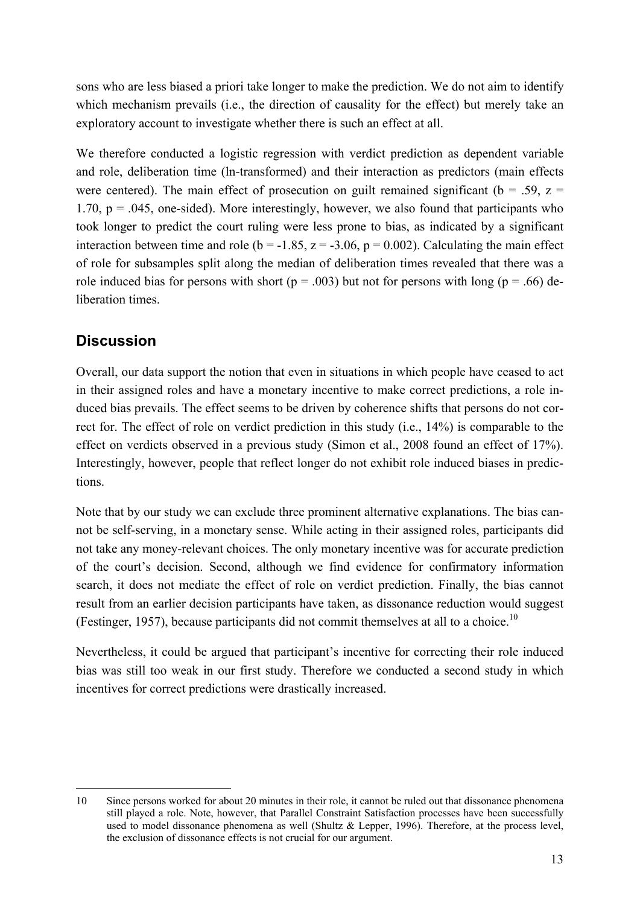sons who are less biased a priori take longer to make the prediction. We do not aim to identify which mechanism prevails (i.e., the direction of causality for the effect) but merely take an exploratory account to investigate whether there is such an effect at all.

We therefore conducted a logistic regression with verdict prediction as dependent variable and role, deliberation time (ln-transformed) and their interaction as predictors (main effects were centered). The main effect of prosecution on guilt remained significant ( $b = .59$ ,  $z =$ 1.70,  $p = 0.045$ , one-sided). More interestingly, however, we also found that participants who took longer to predict the court ruling were less prone to bias, as indicated by a significant interaction between time and role ( $b = -1.85$ ,  $z = -3.06$ ,  $p = 0.002$ ). Calculating the main effect of role for subsamples split along the median of deliberation times revealed that there was a role induced bias for persons with short ( $p = .003$ ) but not for persons with long ( $p = .66$ ) deliberation times.

# **Discussion**

-

Overall, our data support the notion that even in situations in which people have ceased to act in their assigned roles and have a monetary incentive to make correct predictions, a role induced bias prevails. The effect seems to be driven by coherence shifts that persons do not correct for. The effect of role on verdict prediction in this study (i.e., 14%) is comparable to the effect on verdicts observed in a previous study (Simon et al., 2008 found an effect of 17%). Interestingly, however, people that reflect longer do not exhibit role induced biases in predictions.

Note that by our study we can exclude three prominent alternative explanations. The bias cannot be self-serving, in a monetary sense. While acting in their assigned roles, participants did not take any money-relevant choices. The only monetary incentive was for accurate prediction of the court's decision. Second, although we find evidence for confirmatory information search, it does not mediate the effect of role on verdict prediction. Finally, the bias cannot result from an earlier decision participants have taken, as dissonance reduction would suggest (Festinger, 1957), because participants did not commit themselves at all to a choice.<sup>10</sup>

Nevertheless, it could be argued that participant's incentive for correcting their role induced bias was still too weak in our first study. Therefore we conducted a second study in which incentives for correct predictions were drastically increased.

<sup>10</sup> Since persons worked for about 20 minutes in their role, it cannot be ruled out that dissonance phenomena still played a role. Note, however, that Parallel Constraint Satisfaction processes have been successfully used to model dissonance phenomena as well (Shultz & Lepper, 1996). Therefore, at the process level, the exclusion of dissonance effects is not crucial for our argument.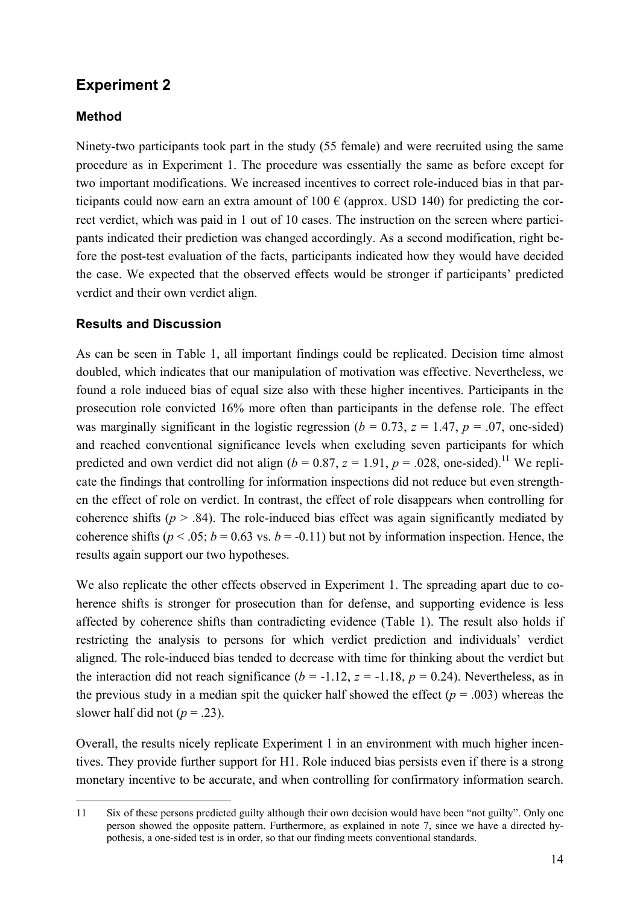# **Experiment 2**

## **Method**

Ninety-two participants took part in the study (55 female) and were recruited using the same procedure as in Experiment 1. The procedure was essentially the same as before except for two important modifications. We increased incentives to correct role-induced bias in that participants could now earn an extra amount of  $100 \in$  (approx. USD 140) for predicting the correct verdict, which was paid in 1 out of 10 cases. The instruction on the screen where participants indicated their prediction was changed accordingly. As a second modification, right before the post-test evaluation of the facts, participants indicated how they would have decided the case. We expected that the observed effects would be stronger if participants' predicted verdict and their own verdict align.

## **Results and Discussion**

As can be seen in Table 1, all important findings could be replicated. Decision time almost doubled, which indicates that our manipulation of motivation was effective. Nevertheless, we found a role induced bias of equal size also with these higher incentives. Participants in the prosecution role convicted 16% more often than participants in the defense role. The effect was marginally significant in the logistic regression ( $b = 0.73$ ,  $z = 1.47$ ,  $p = .07$ , one-sided) and reached conventional significance levels when excluding seven participants for which predicted and own verdict did not align ( $b = 0.87$ ,  $z = 1.91$ ,  $p = .028$ , one-sided).<sup>11</sup> We replicate the findings that controlling for information inspections did not reduce but even strengthen the effect of role on verdict. In contrast, the effect of role disappears when controlling for coherence shifts ( $p > .84$ ). The role-induced bias effect was again significantly mediated by coherence shifts ( $p < .05$ ;  $b = 0.63$  vs.  $b = -0.11$ ) but not by information inspection. Hence, the results again support our two hypotheses.

We also replicate the other effects observed in Experiment 1. The spreading apart due to coherence shifts is stronger for prosecution than for defense, and supporting evidence is less affected by coherence shifts than contradicting evidence (Table 1). The result also holds if restricting the analysis to persons for which verdict prediction and individuals' verdict aligned. The role-induced bias tended to decrease with time for thinking about the verdict but the interaction did not reach significance ( $b = -1.12$ ,  $z = -1.18$ ,  $p = 0.24$ ). Nevertheless, as in the previous study in a median spit the quicker half showed the effect  $(p = .003)$  whereas the slower half did not  $(p=.23)$ .

Overall, the results nicely replicate Experiment 1 in an environment with much higher incentives. They provide further support for H1. Role induced bias persists even if there is a strong monetary incentive to be accurate, and when controlling for confirmatory information search.

<sup>-</sup>11 Six of these persons predicted guilty although their own decision would have been "not guilty". Only one person showed the opposite pattern. Furthermore, as explained in note 7, since we have a directed hypothesis, a one-sided test is in order, so that our finding meets conventional standards.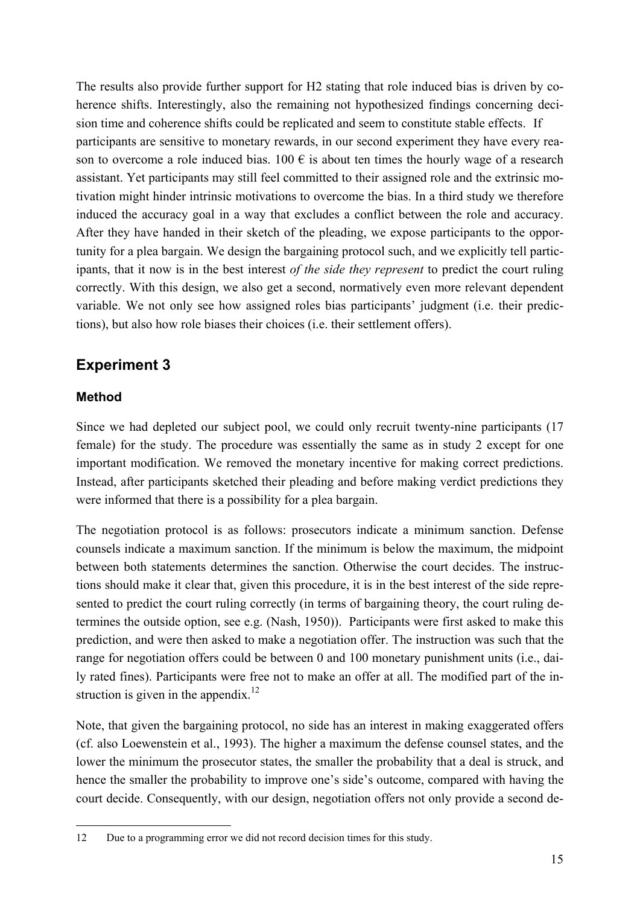The results also provide further support for H2 stating that role induced bias is driven by coherence shifts. Interestingly, also the remaining not hypothesized findings concerning decision time and coherence shifts could be replicated and seem to constitute stable effects. If participants are sensitive to monetary rewards, in our second experiment they have every reason to overcome a role induced bias. 100  $\epsilon$  is about ten times the hourly wage of a research assistant. Yet participants may still feel committed to their assigned role and the extrinsic motivation might hinder intrinsic motivations to overcome the bias. In a third study we therefore induced the accuracy goal in a way that excludes a conflict between the role and accuracy. After they have handed in their sketch of the pleading, we expose participants to the opportunity for a plea bargain. We design the bargaining protocol such, and we explicitly tell participants, that it now is in the best interest *of the side they represent* to predict the court ruling correctly. With this design, we also get a second, normatively even more relevant dependent variable. We not only see how assigned roles bias participants' judgment (i.e. their predictions), but also how role biases their choices (i.e. their settlement offers).

## **Experiment 3**

## **Method**

-

Since we had depleted our subject pool, we could only recruit twenty-nine participants (17 female) for the study. The procedure was essentially the same as in study 2 except for one important modification. We removed the monetary incentive for making correct predictions. Instead, after participants sketched their pleading and before making verdict predictions they were informed that there is a possibility for a plea bargain.

The negotiation protocol is as follows: prosecutors indicate a minimum sanction. Defense counsels indicate a maximum sanction. If the minimum is below the maximum, the midpoint between both statements determines the sanction. Otherwise the court decides. The instructions should make it clear that, given this procedure, it is in the best interest of the side represented to predict the court ruling correctly (in terms of bargaining theory, the court ruling determines the outside option, see e.g. (Nash, 1950)). Participants were first asked to make this prediction, and were then asked to make a negotiation offer. The instruction was such that the range for negotiation offers could be between 0 and 100 monetary punishment units (i.e., daily rated fines). Participants were free not to make an offer at all. The modified part of the instruction is given in the appendix. $12$ 

Note, that given the bargaining protocol, no side has an interest in making exaggerated offers (cf. also Loewenstein et al., 1993). The higher a maximum the defense counsel states, and the lower the minimum the prosecutor states, the smaller the probability that a deal is struck, and hence the smaller the probability to improve one's side's outcome, compared with having the court decide. Consequently, with our design, negotiation offers not only provide a second de-

<sup>12</sup> Due to a programming error we did not record decision times for this study.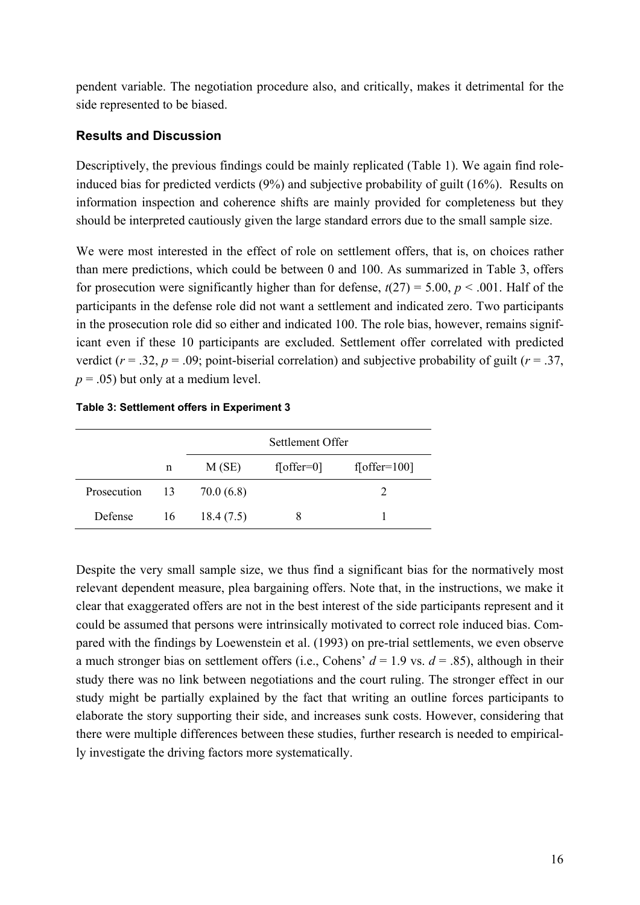pendent variable. The negotiation procedure also, and critically, makes it detrimental for the side represented to be biased.

## **Results and Discussion**

Descriptively, the previous findings could be mainly replicated (Table 1). We again find roleinduced bias for predicted verdicts (9%) and subjective probability of guilt (16%). Results on information inspection and coherence shifts are mainly provided for completeness but they should be interpreted cautiously given the large standard errors due to the small sample size.

We were most interested in the effect of role on settlement offers, that is, on choices rather than mere predictions, which could be between 0 and 100. As summarized in Table 3, offers for prosecution were significantly higher than for defense,  $t(27) = 5.00$ ,  $p < .001$ . Half of the participants in the defense role did not want a settlement and indicated zero. Two participants in the prosecution role did so either and indicated 100. The role bias, however, remains significant even if these 10 participants are excluded. Settlement offer correlated with predicted verdict ( $r = .32$ ,  $p = .09$ ; point-biserial correlation) and subjective probability of guilt ( $r = .37$ ,  $p = .05$ ) but only at a medium level.

| Table 3: Settlement offers in Experiment 3 |  |  |
|--------------------------------------------|--|--|
|--------------------------------------------|--|--|

|             |    | Settlement Offer |              |                |  |  |
|-------------|----|------------------|--------------|----------------|--|--|
|             | n  | M(SE)            | $f[offer=0]$ | $f[offer=100]$ |  |  |
| Prosecution | 13 | 70.0(6.8)        |              |                |  |  |
| Defense     | 16 | 18.4(7.5)        | 8            |                |  |  |

Despite the very small sample size, we thus find a significant bias for the normatively most relevant dependent measure, plea bargaining offers. Note that, in the instructions, we make it clear that exaggerated offers are not in the best interest of the side participants represent and it could be assumed that persons were intrinsically motivated to correct role induced bias. Compared with the findings by Loewenstein et al. (1993) on pre-trial settlements, we even observe a much stronger bias on settlement offers (i.e., Cohens'  $d = 1.9$  vs.  $d = .85$ ), although in their study there was no link between negotiations and the court ruling. The stronger effect in our study might be partially explained by the fact that writing an outline forces participants to elaborate the story supporting their side, and increases sunk costs. However, considering that there were multiple differences between these studies, further research is needed to empirically investigate the driving factors more systematically.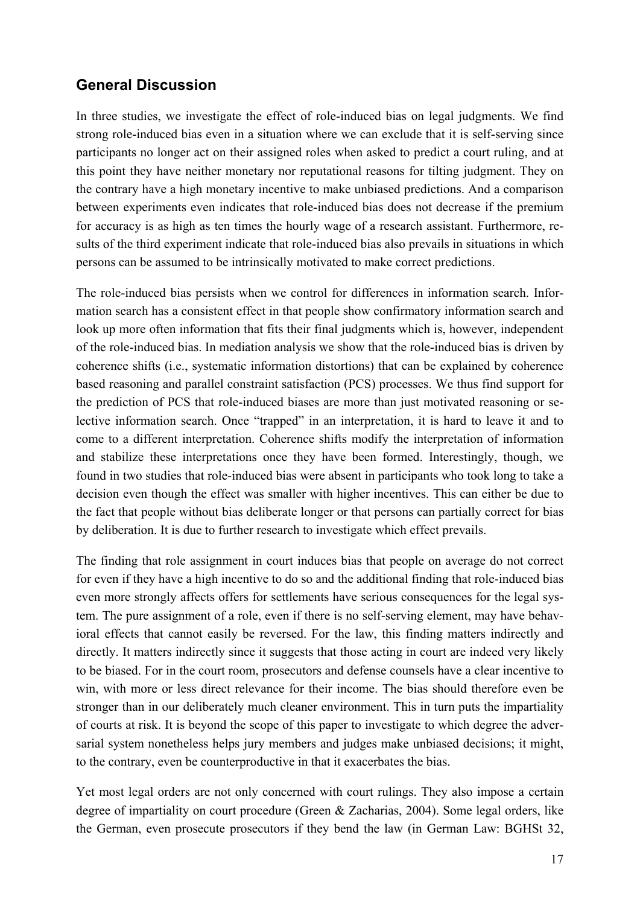# **General Discussion**

In three studies, we investigate the effect of role-induced bias on legal judgments. We find strong role-induced bias even in a situation where we can exclude that it is self-serving since participants no longer act on their assigned roles when asked to predict a court ruling, and at this point they have neither monetary nor reputational reasons for tilting judgment. They on the contrary have a high monetary incentive to make unbiased predictions. And a comparison between experiments even indicates that role-induced bias does not decrease if the premium for accuracy is as high as ten times the hourly wage of a research assistant. Furthermore, results of the third experiment indicate that role-induced bias also prevails in situations in which persons can be assumed to be intrinsically motivated to make correct predictions.

The role-induced bias persists when we control for differences in information search. Information search has a consistent effect in that people show confirmatory information search and look up more often information that fits their final judgments which is, however, independent of the role-induced bias. In mediation analysis we show that the role-induced bias is driven by coherence shifts (i.e., systematic information distortions) that can be explained by coherence based reasoning and parallel constraint satisfaction (PCS) processes. We thus find support for the prediction of PCS that role-induced biases are more than just motivated reasoning or selective information search. Once "trapped" in an interpretation, it is hard to leave it and to come to a different interpretation. Coherence shifts modify the interpretation of information and stabilize these interpretations once they have been formed. Interestingly, though, we found in two studies that role-induced bias were absent in participants who took long to take a decision even though the effect was smaller with higher incentives. This can either be due to the fact that people without bias deliberate longer or that persons can partially correct for bias by deliberation. It is due to further research to investigate which effect prevails.

The finding that role assignment in court induces bias that people on average do not correct for even if they have a high incentive to do so and the additional finding that role-induced bias even more strongly affects offers for settlements have serious consequences for the legal system. The pure assignment of a role, even if there is no self-serving element, may have behavioral effects that cannot easily be reversed. For the law, this finding matters indirectly and directly. It matters indirectly since it suggests that those acting in court are indeed very likely to be biased. For in the court room, prosecutors and defense counsels have a clear incentive to win, with more or less direct relevance for their income. The bias should therefore even be stronger than in our deliberately much cleaner environment. This in turn puts the impartiality of courts at risk. It is beyond the scope of this paper to investigate to which degree the adversarial system nonetheless helps jury members and judges make unbiased decisions; it might, to the contrary, even be counterproductive in that it exacerbates the bias.

Yet most legal orders are not only concerned with court rulings. They also impose a certain degree of impartiality on court procedure (Green & Zacharias, 2004). Some legal orders, like the German, even prosecute prosecutors if they bend the law (in German Law: BGHSt 32,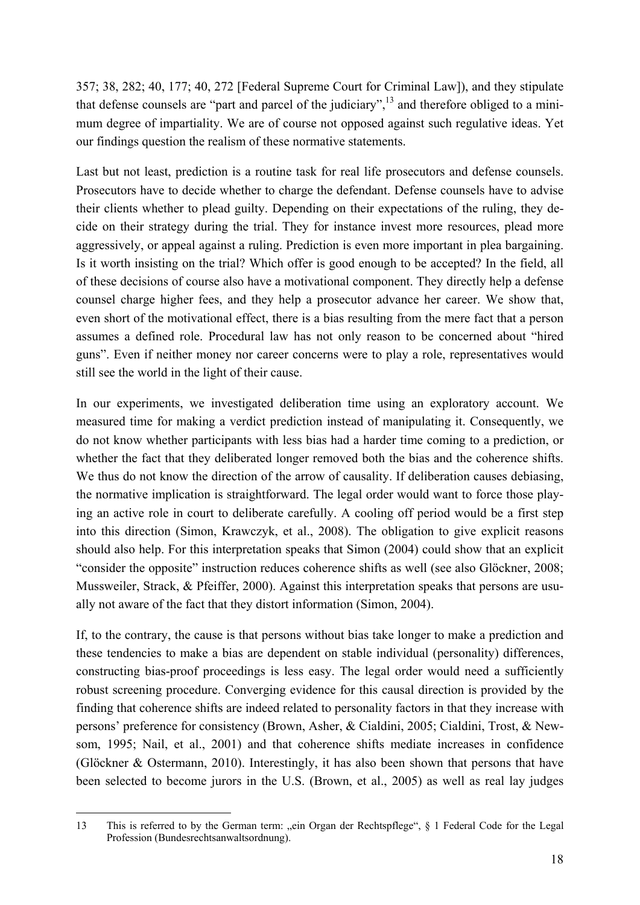357; 38, 282; 40, 177; 40, 272 [Federal Supreme Court for Criminal Law]), and they stipulate that defense counsels are "part and parcel of the judiciary",  $^{13}$  and therefore obliged to a minimum degree of impartiality. We are of course not opposed against such regulative ideas. Yet our findings question the realism of these normative statements.

Last but not least, prediction is a routine task for real life prosecutors and defense counsels. Prosecutors have to decide whether to charge the defendant. Defense counsels have to advise their clients whether to plead guilty. Depending on their expectations of the ruling, they decide on their strategy during the trial. They for instance invest more resources, plead more aggressively, or appeal against a ruling. Prediction is even more important in plea bargaining. Is it worth insisting on the trial? Which offer is good enough to be accepted? In the field, all of these decisions of course also have a motivational component. They directly help a defense counsel charge higher fees, and they help a prosecutor advance her career. We show that, even short of the motivational effect, there is a bias resulting from the mere fact that a person assumes a defined role. Procedural law has not only reason to be concerned about "hired guns". Even if neither money nor career concerns were to play a role, representatives would still see the world in the light of their cause.

In our experiments, we investigated deliberation time using an exploratory account. We measured time for making a verdict prediction instead of manipulating it. Consequently, we do not know whether participants with less bias had a harder time coming to a prediction, or whether the fact that they deliberated longer removed both the bias and the coherence shifts. We thus do not know the direction of the arrow of causality. If deliberation causes debiasing, the normative implication is straightforward. The legal order would want to force those playing an active role in court to deliberate carefully. A cooling off period would be a first step into this direction (Simon, Krawczyk, et al., 2008). The obligation to give explicit reasons should also help. For this interpretation speaks that Simon (2004) could show that an explicit "consider the opposite" instruction reduces coherence shifts as well (see also Glöckner, 2008; Mussweiler, Strack, & Pfeiffer, 2000). Against this interpretation speaks that persons are usually not aware of the fact that they distort information (Simon, 2004).

If, to the contrary, the cause is that persons without bias take longer to make a prediction and these tendencies to make a bias are dependent on stable individual (personality) differences, constructing bias-proof proceedings is less easy. The legal order would need a sufficiently robust screening procedure. Converging evidence for this causal direction is provided by the finding that coherence shifts are indeed related to personality factors in that they increase with persons' preference for consistency (Brown, Asher, & Cialdini, 2005; Cialdini, Trost, & Newsom, 1995; Nail, et al., 2001) and that coherence shifts mediate increases in confidence (Glöckner & Ostermann, 2010). Interestingly, it has also been shown that persons that have been selected to become jurors in the U.S. (Brown, et al., 2005) as well as real lay judges

-

<sup>13</sup> This is referred to by the German term: "ein Organ der Rechtspflege", § 1 Federal Code for the Legal Profession (Bundesrechtsanwaltsordnung).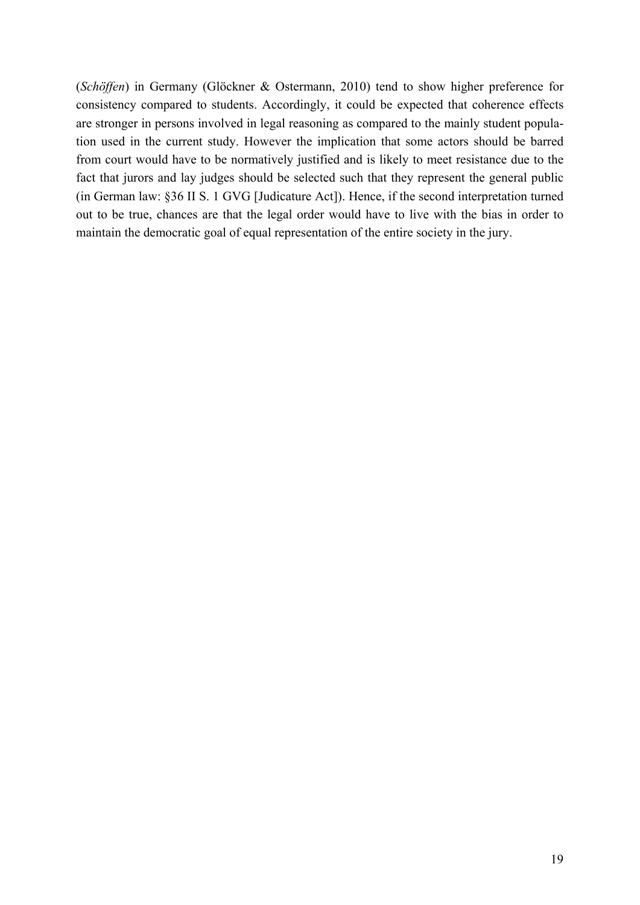(*Schöffen*) in Germany (Glöckner & Ostermann, 2010) tend to show higher preference for consistency compared to students. Accordingly, it could be expected that coherence effects are stronger in persons involved in legal reasoning as compared to the mainly student population used in the current study. However the implication that some actors should be barred from court would have to be normatively justified and is likely to meet resistance due to the fact that jurors and lay judges should be selected such that they represent the general public (in German law: §36 II S. 1 GVG [Judicature Act]). Hence, if the second interpretation turned out to be true, chances are that the legal order would have to live with the bias in order to maintain the democratic goal of equal representation of the entire society in the jury.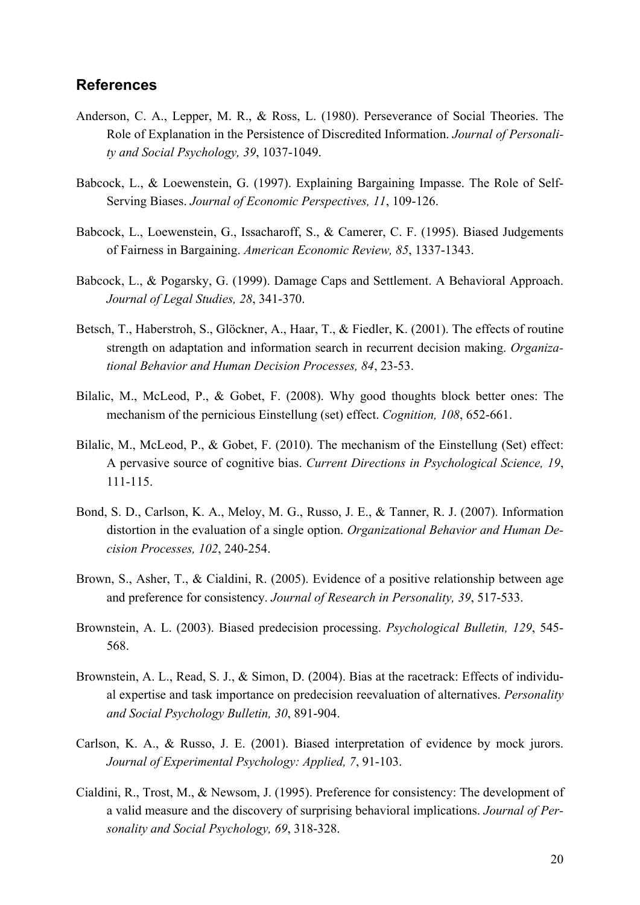## **References**

- Anderson, C. A., Lepper, M. R., & Ross, L. (1980). Perseverance of Social Theories. The Role of Explanation in the Persistence of Discredited Information. *Journal of Personality and Social Psychology, 39*, 1037-1049.
- Babcock, L., & Loewenstein, G. (1997). Explaining Bargaining Impasse. The Role of Self-Serving Biases. *Journal of Economic Perspectives, 11*, 109-126.
- Babcock, L., Loewenstein, G., Issacharoff, S., & Camerer, C. F. (1995). Biased Judgements of Fairness in Bargaining. *American Economic Review, 85*, 1337-1343.
- Babcock, L., & Pogarsky, G. (1999). Damage Caps and Settlement. A Behavioral Approach. *Journal of Legal Studies, 28*, 341-370.
- Betsch, T., Haberstroh, S., Glöckner, A., Haar, T., & Fiedler, K. (2001). The effects of routine strength on adaptation and information search in recurrent decision making. *Organizational Behavior and Human Decision Processes, 84*, 23-53.
- Bilalic, M., McLeod, P., & Gobet, F. (2008). Why good thoughts block better ones: The mechanism of the pernicious Einstellung (set) effect. *Cognition, 108*, 652-661.
- Bilalic, M., McLeod, P., & Gobet, F. (2010). The mechanism of the Einstellung (Set) effect: A pervasive source of cognitive bias. *Current Directions in Psychological Science, 19*, 111-115.
- Bond, S. D., Carlson, K. A., Meloy, M. G., Russo, J. E., & Tanner, R. J. (2007). Information distortion in the evaluation of a single option. *Organizational Behavior and Human Decision Processes, 102*, 240-254.
- Brown, S., Asher, T., & Cialdini, R. (2005). Evidence of a positive relationship between age and preference for consistency. *Journal of Research in Personality, 39*, 517-533.
- Brownstein, A. L. (2003). Biased predecision processing. *Psychological Bulletin, 129*, 545- 568.
- Brownstein, A. L., Read, S. J., & Simon, D. (2004). Bias at the racetrack: Effects of individual expertise and task importance on predecision reevaluation of alternatives. *Personality and Social Psychology Bulletin, 30*, 891-904.
- Carlson, K. A., & Russo, J. E. (2001). Biased interpretation of evidence by mock jurors. *Journal of Experimental Psychology: Applied, 7*, 91-103.
- Cialdini, R., Trost, M., & Newsom, J. (1995). Preference for consistency: The development of a valid measure and the discovery of surprising behavioral implications. *Journal of Personality and Social Psychology, 69*, 318-328.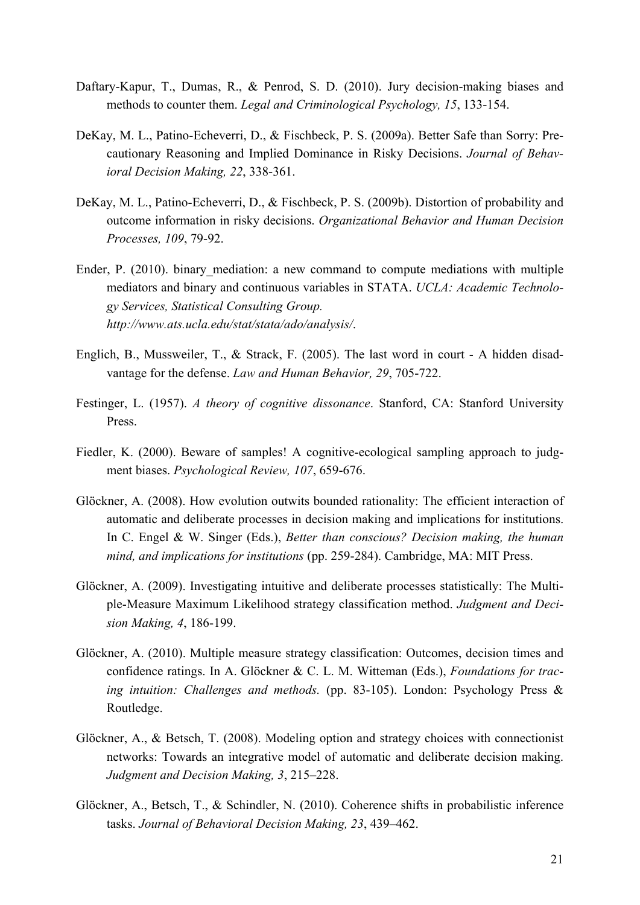- Daftary-Kapur, T., Dumas, R., & Penrod, S. D. (2010). Jury decision-making biases and methods to counter them. *Legal and Criminological Psychology, 15*, 133-154.
- DeKay, M. L., Patino-Echeverri, D., & Fischbeck, P. S. (2009a). Better Safe than Sorry: Precautionary Reasoning and Implied Dominance in Risky Decisions. *Journal of Behavioral Decision Making, 22*, 338-361.
- DeKay, M. L., Patino-Echeverri, D., & Fischbeck, P. S. (2009b). Distortion of probability and outcome information in risky decisions. *Organizational Behavior and Human Decision Processes, 109*, 79-92.
- Ender, P. (2010). binary mediation: a new command to compute mediations with multiple mediators and binary and continuous variables in STATA. *UCLA: Academic Technology Services, Statistical Consulting Group. http://www.ats.ucla.edu/stat/stata/ado/analysis/*.
- Englich, B., Mussweiler, T., & Strack, F. (2005). The last word in court A hidden disadvantage for the defense. *Law and Human Behavior, 29*, 705-722.
- Festinger, L. (1957). *A theory of cognitive dissonance*. Stanford, CA: Stanford University Press.
- Fiedler, K. (2000). Beware of samples! A cognitive-ecological sampling approach to judgment biases. *Psychological Review, 107*, 659-676.
- Glöckner, A. (2008). How evolution outwits bounded rationality: The efficient interaction of automatic and deliberate processes in decision making and implications for institutions. In C. Engel & W. Singer (Eds.), *Better than conscious? Decision making, the human mind, and implications for institutions* (pp. 259-284). Cambridge, MA: MIT Press.
- Glöckner, A. (2009). Investigating intuitive and deliberate processes statistically: The Multiple-Measure Maximum Likelihood strategy classification method. *Judgment and Decision Making, 4*, 186-199.
- Glöckner, A. (2010). Multiple measure strategy classification: Outcomes, decision times and confidence ratings. In A. Glöckner & C. L. M. Witteman (Eds.), *Foundations for tracing intuition: Challenges and methods.* (pp. 83-105). London: Psychology Press & Routledge.
- Glöckner, A., & Betsch, T. (2008). Modeling option and strategy choices with connectionist networks: Towards an integrative model of automatic and deliberate decision making. *Judgment and Decision Making, 3*, 215–228.
- Glöckner, A., Betsch, T., & Schindler, N. (2010). Coherence shifts in probabilistic inference tasks. *Journal of Behavioral Decision Making, 23*, 439–462.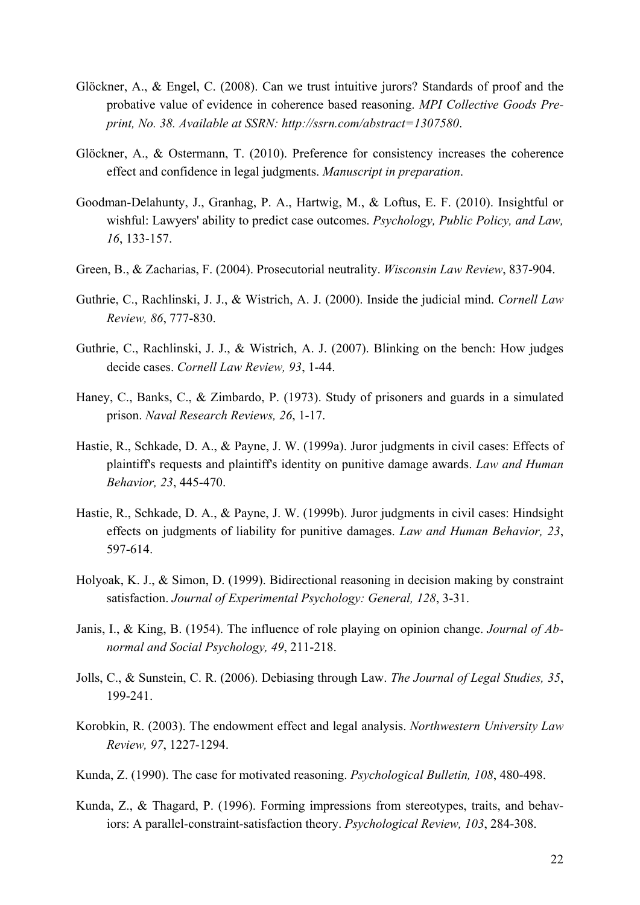- Glöckner, A., & Engel, C. (2008). Can we trust intuitive jurors? Standards of proof and the probative value of evidence in coherence based reasoning. *MPI Collective Goods Preprint, No. 38. Available at SSRN: http://ssrn.com/abstract=1307580*.
- Glöckner, A., & Ostermann, T. (2010). Preference for consistency increases the coherence effect and confidence in legal judgments. *Manuscript in preparation*.
- Goodman-Delahunty, J., Granhag, P. A., Hartwig, M., & Loftus, E. F. (2010). Insightful or wishful: Lawyers' ability to predict case outcomes. *Psychology, Public Policy, and Law, 16*, 133-157.
- Green, B., & Zacharias, F. (2004). Prosecutorial neutrality. *Wisconsin Law Review*, 837-904.
- Guthrie, C., Rachlinski, J. J., & Wistrich, A. J. (2000). Inside the judicial mind. *Cornell Law Review, 86*, 777-830.
- Guthrie, C., Rachlinski, J. J., & Wistrich, A. J. (2007). Blinking on the bench: How judges decide cases. *Cornell Law Review, 93*, 1-44.
- Haney, C., Banks, C., & Zimbardo, P. (1973). Study of prisoners and guards in a simulated prison. *Naval Research Reviews, 26*, 1-17.
- Hastie, R., Schkade, D. A., & Payne, J. W. (1999a). Juror judgments in civil cases: Effects of plaintiff's requests and plaintiff's identity on punitive damage awards. *Law and Human Behavior, 23*, 445-470.
- Hastie, R., Schkade, D. A., & Payne, J. W. (1999b). Juror judgments in civil cases: Hindsight effects on judgments of liability for punitive damages. *Law and Human Behavior, 23*, 597-614.
- Holyoak, K. J., & Simon, D. (1999). Bidirectional reasoning in decision making by constraint satisfaction. *Journal of Experimental Psychology: General, 128*, 3-31.
- Janis, I., & King, B. (1954). The influence of role playing on opinion change. *Journal of Abnormal and Social Psychology, 49*, 211-218.
- Jolls, C., & Sunstein, C. R. (2006). Debiasing through Law. *The Journal of Legal Studies, 35*, 199-241.
- Korobkin, R. (2003). The endowment effect and legal analysis. *Northwestern University Law Review, 97*, 1227-1294.
- Kunda, Z. (1990). The case for motivated reasoning. *Psychological Bulletin, 108*, 480-498.
- Kunda, Z., & Thagard, P. (1996). Forming impressions from stereotypes, traits, and behaviors: A parallel-constraint-satisfaction theory. *Psychological Review, 103*, 284-308.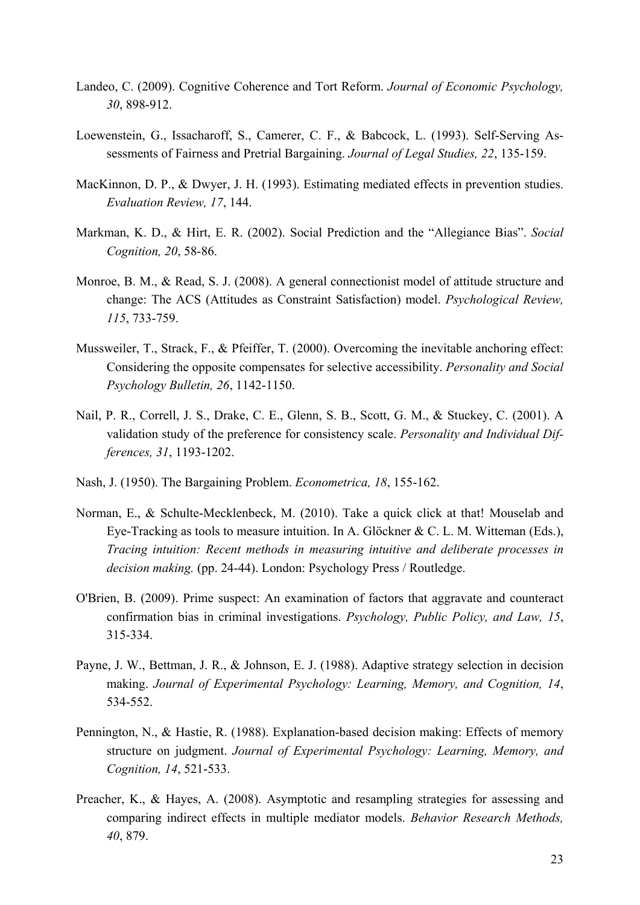- Landeo, C. (2009). Cognitive Coherence and Tort Reform. *Journal of Economic Psychology, 30*, 898-912.
- Loewenstein, G., Issacharoff, S., Camerer, C. F., & Babcock, L. (1993). Self-Serving Assessments of Fairness and Pretrial Bargaining. *Journal of Legal Studies, 22*, 135-159.
- MacKinnon, D. P., & Dwyer, J. H. (1993). Estimating mediated effects in prevention studies. *Evaluation Review, 17*, 144.
- Markman, K. D., & Hirt, E. R. (2002). Social Prediction and the "Allegiance Bias". *Social Cognition, 20*, 58-86.
- Monroe, B. M., & Read, S. J. (2008). A general connectionist model of attitude structure and change: The ACS (Attitudes as Constraint Satisfaction) model. *Psychological Review, 115*, 733-759.
- Mussweiler, T., Strack, F., & Pfeiffer, T. (2000). Overcoming the inevitable anchoring effect: Considering the opposite compensates for selective accessibility. *Personality and Social Psychology Bulletin, 26*, 1142-1150.
- Nail, P. R., Correll, J. S., Drake, C. E., Glenn, S. B., Scott, G. M., & Stuckey, C. (2001). A validation study of the preference for consistency scale. *Personality and Individual Differences, 31*, 1193-1202.
- Nash, J. (1950). The Bargaining Problem. *Econometrica, 18*, 155-162.
- Norman, E., & Schulte-Mecklenbeck, M. (2010). Take a quick click at that! Mouselab and Eye-Tracking as tools to measure intuition. In A. Glöckner & C. L. M. Witteman (Eds.), *Tracing intuition: Recent methods in measuring intuitive and deliberate processes in decision making.* (pp. 24-44). London: Psychology Press / Routledge.
- O'Brien, B. (2009). Prime suspect: An examination of factors that aggravate and counteract confirmation bias in criminal investigations. *Psychology, Public Policy, and Law, 15*, 315-334.
- Payne, J. W., Bettman, J. R., & Johnson, E. J. (1988). Adaptive strategy selection in decision making. *Journal of Experimental Psychology: Learning, Memory, and Cognition, 14*, 534-552.
- Pennington, N., & Hastie, R. (1988). Explanation-based decision making: Effects of memory structure on judgment. *Journal of Experimental Psychology: Learning, Memory, and Cognition, 14*, 521-533.
- Preacher, K., & Hayes, A. (2008). Asymptotic and resampling strategies for assessing and comparing indirect effects in multiple mediator models. *Behavior Research Methods, 40*, 879.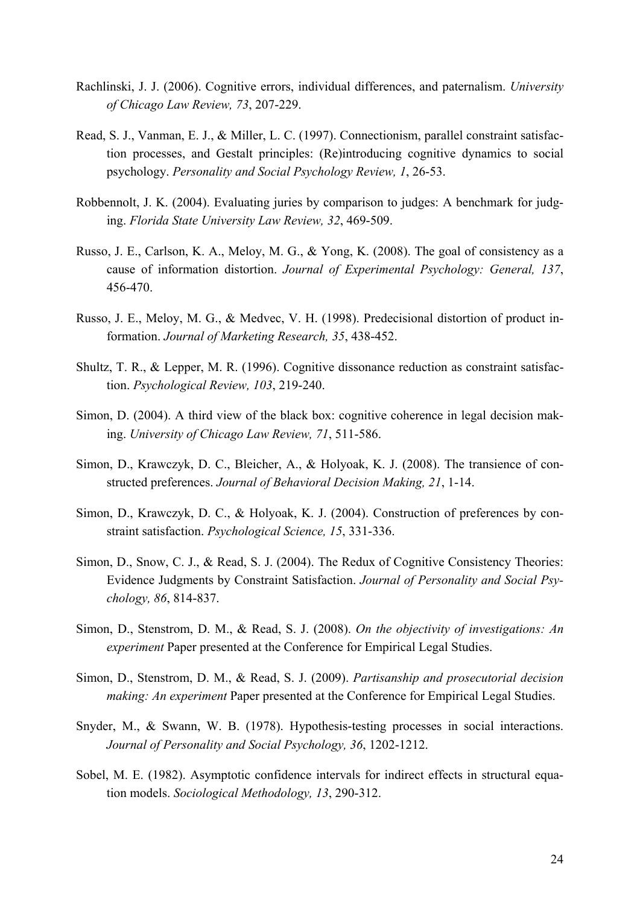- Rachlinski, J. J. (2006). Cognitive errors, individual differences, and paternalism. *University of Chicago Law Review, 73*, 207-229.
- Read, S. J., Vanman, E. J., & Miller, L. C. (1997). Connectionism, parallel constraint satisfaction processes, and Gestalt principles: (Re)introducing cognitive dynamics to social psychology. *Personality and Social Psychology Review, 1*, 26-53.
- Robbennolt, J. K. (2004). Evaluating juries by comparison to judges: A benchmark for judging. *Florida State University Law Review, 32*, 469-509.
- Russo, J. E., Carlson, K. A., Meloy, M. G., & Yong, K. (2008). The goal of consistency as a cause of information distortion. *Journal of Experimental Psychology: General, 137*, 456-470.
- Russo, J. E., Meloy, M. G., & Medvec, V. H. (1998). Predecisional distortion of product information. *Journal of Marketing Research, 35*, 438-452.
- Shultz, T. R., & Lepper, M. R. (1996). Cognitive dissonance reduction as constraint satisfaction. *Psychological Review, 103*, 219-240.
- Simon, D. (2004). A third view of the black box: cognitive coherence in legal decision making. *University of Chicago Law Review, 71*, 511-586.
- Simon, D., Krawczyk, D. C., Bleicher, A., & Holyoak, K. J. (2008). The transience of constructed preferences. *Journal of Behavioral Decision Making, 21*, 1-14.
- Simon, D., Krawczyk, D. C., & Holyoak, K. J. (2004). Construction of preferences by constraint satisfaction. *Psychological Science, 15*, 331-336.
- Simon, D., Snow, C. J., & Read, S. J. (2004). The Redux of Cognitive Consistency Theories: Evidence Judgments by Constraint Satisfaction. *Journal of Personality and Social Psychology, 86*, 814-837.
- Simon, D., Stenstrom, D. M., & Read, S. J. (2008). *On the objectivity of investigations: An experiment* Paper presented at the Conference for Empirical Legal Studies.
- Simon, D., Stenstrom, D. M., & Read, S. J. (2009). *Partisanship and prosecutorial decision making: An experiment* Paper presented at the Conference for Empirical Legal Studies.
- Snyder, M., & Swann, W. B. (1978). Hypothesis-testing processes in social interactions. *Journal of Personality and Social Psychology, 36*, 1202-1212.
- Sobel, M. E. (1982). Asymptotic confidence intervals for indirect effects in structural equation models. *Sociological Methodology, 13*, 290-312.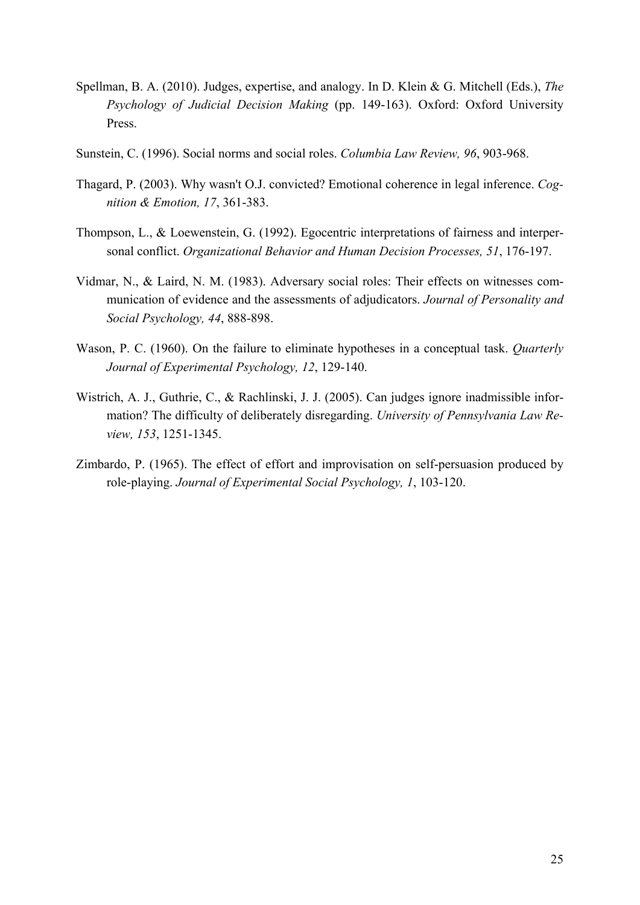- Spellman, B. A. (2010). Judges, expertise, and analogy. In D. Klein & G. Mitchell (Eds.), *The Psychology of Judicial Decision Making* (pp. 149-163). Oxford: Oxford University Press.
- Sunstein, C. (1996). Social norms and social roles. *Columbia Law Review, 96*, 903-968.
- Thagard, P. (2003). Why wasn't O.J. convicted? Emotional coherence in legal inference. *Cognition & Emotion, 17*, 361-383.
- Thompson, L., & Loewenstein, G. (1992). Egocentric interpretations of fairness and interpersonal conflict. *Organizational Behavior and Human Decision Processes, 51*, 176-197.
- Vidmar, N., & Laird, N. M. (1983). Adversary social roles: Their effects on witnesses communication of evidence and the assessments of adjudicators. *Journal of Personality and Social Psychology, 44*, 888-898.
- Wason, P. C. (1960). On the failure to eliminate hypotheses in a conceptual task. *Quarterly Journal of Experimental Psychology, 12*, 129-140.
- Wistrich, A. J., Guthrie, C., & Rachlinski, J. J. (2005). Can judges ignore inadmissible information? The difficulty of deliberately disregarding. *University of Pennsylvania Law Review, 153*, 1251-1345.
- Zimbardo, P. (1965). The effect of effort and improvisation on self-persuasion produced by role-playing. *Journal of Experimental Social Psychology, 1*, 103-120.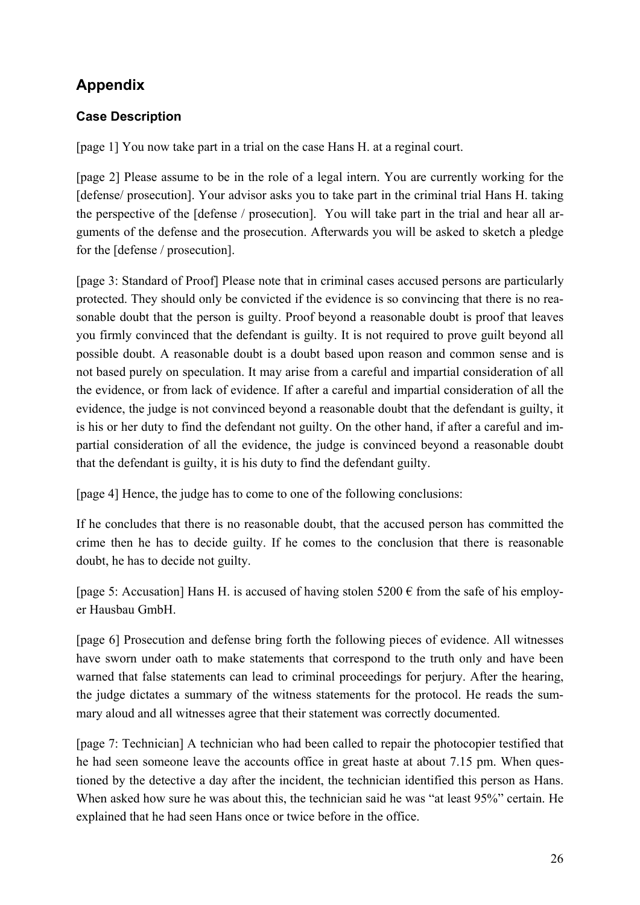# **Appendix**

# **Case Description**

[page 1] You now take part in a trial on the case Hans H. at a reginal court.

[page 2] Please assume to be in the role of a legal intern. You are currently working for the [defense/ prosecution]. Your advisor asks you to take part in the criminal trial Hans H. taking the perspective of the [defense / prosecution]. You will take part in the trial and hear all arguments of the defense and the prosecution. Afterwards you will be asked to sketch a pledge for the [defense / prosecution].

[page 3: Standard of Proof] Please note that in criminal cases accused persons are particularly protected. They should only be convicted if the evidence is so convincing that there is no reasonable doubt that the person is guilty. Proof beyond a reasonable doubt is proof that leaves you firmly convinced that the defendant is guilty. It is not required to prove guilt beyond all possible doubt. A reasonable doubt is a doubt based upon reason and common sense and is not based purely on speculation. It may arise from a careful and impartial consideration of all the evidence, or from lack of evidence. If after a careful and impartial consideration of all the evidence, the judge is not convinced beyond a reasonable doubt that the defendant is guilty, it is his or her duty to find the defendant not guilty. On the other hand, if after a careful and impartial consideration of all the evidence, the judge is convinced beyond a reasonable doubt that the defendant is guilty, it is his duty to find the defendant guilty.

[page 4] Hence, the judge has to come to one of the following conclusions:

If he concludes that there is no reasonable doubt, that the accused person has committed the crime then he has to decide guilty. If he comes to the conclusion that there is reasonable doubt, he has to decide not guilty.

[page 5: Accusation] Hans H. is accused of having stolen 5200  $\epsilon$  from the safe of his employer Hausbau GmbH.

[page 6] Prosecution and defense bring forth the following pieces of evidence. All witnesses have sworn under oath to make statements that correspond to the truth only and have been warned that false statements can lead to criminal proceedings for perjury. After the hearing, the judge dictates a summary of the witness statements for the protocol. He reads the summary aloud and all witnesses agree that their statement was correctly documented.

[page 7: Technician] A technician who had been called to repair the photocopier testified that he had seen someone leave the accounts office in great haste at about 7.15 pm. When questioned by the detective a day after the incident, the technician identified this person as Hans. When asked how sure he was about this, the technician said he was "at least 95%" certain. He explained that he had seen Hans once or twice before in the office.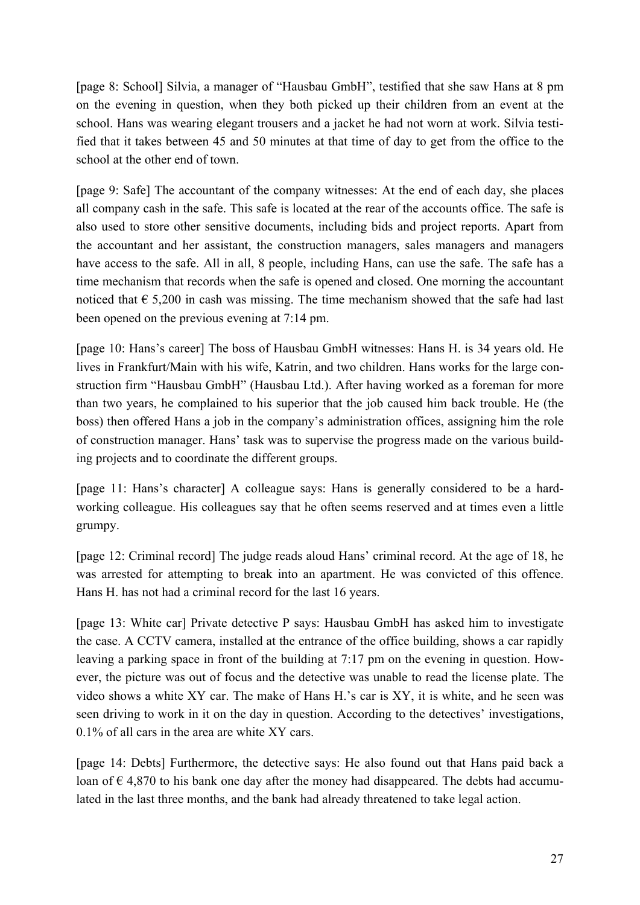[page 8: School] Silvia, a manager of "Hausbau GmbH", testified that she saw Hans at 8 pm on the evening in question, when they both picked up their children from an event at the school. Hans was wearing elegant trousers and a jacket he had not worn at work. Silvia testified that it takes between 45 and 50 minutes at that time of day to get from the office to the school at the other end of town.

[page 9: Safe] The accountant of the company witnesses: At the end of each day, she places all company cash in the safe. This safe is located at the rear of the accounts office. The safe is also used to store other sensitive documents, including bids and project reports. Apart from the accountant and her assistant, the construction managers, sales managers and managers have access to the safe. All in all, 8 people, including Hans, can use the safe. The safe has a time mechanism that records when the safe is opened and closed. One morning the accountant noticed that  $\epsilon$  5,200 in cash was missing. The time mechanism showed that the safe had last been opened on the previous evening at 7:14 pm.

[page 10: Hans's career] The boss of Hausbau GmbH witnesses: Hans H. is 34 years old. He lives in Frankfurt/Main with his wife, Katrin, and two children. Hans works for the large construction firm "Hausbau GmbH" (Hausbau Ltd.). After having worked as a foreman for more than two years, he complained to his superior that the job caused him back trouble. He (the boss) then offered Hans a job in the company's administration offices, assigning him the role of construction manager. Hans' task was to supervise the progress made on the various building projects and to coordinate the different groups.

[page 11: Hans's character] A colleague says: Hans is generally considered to be a hardworking colleague. His colleagues say that he often seems reserved and at times even a little grumpy.

[page 12: Criminal record] The judge reads aloud Hans' criminal record. At the age of 18, he was arrested for attempting to break into an apartment. He was convicted of this offence. Hans H. has not had a criminal record for the last 16 years.

[page 13: White car] Private detective P says: Hausbau GmbH has asked him to investigate the case. A CCTV camera, installed at the entrance of the office building, shows a car rapidly leaving a parking space in front of the building at 7:17 pm on the evening in question. However, the picture was out of focus and the detective was unable to read the license plate. The video shows a white XY car. The make of Hans H.'s car is XY, it is white, and he seen was seen driving to work in it on the day in question. According to the detectives' investigations, 0.1% of all cars in the area are white XY cars.

[page 14: Debts] Furthermore, the detective says: He also found out that Hans paid back a loan of  $\epsilon$  4,870 to his bank one day after the money had disappeared. The debts had accumulated in the last three months, and the bank had already threatened to take legal action.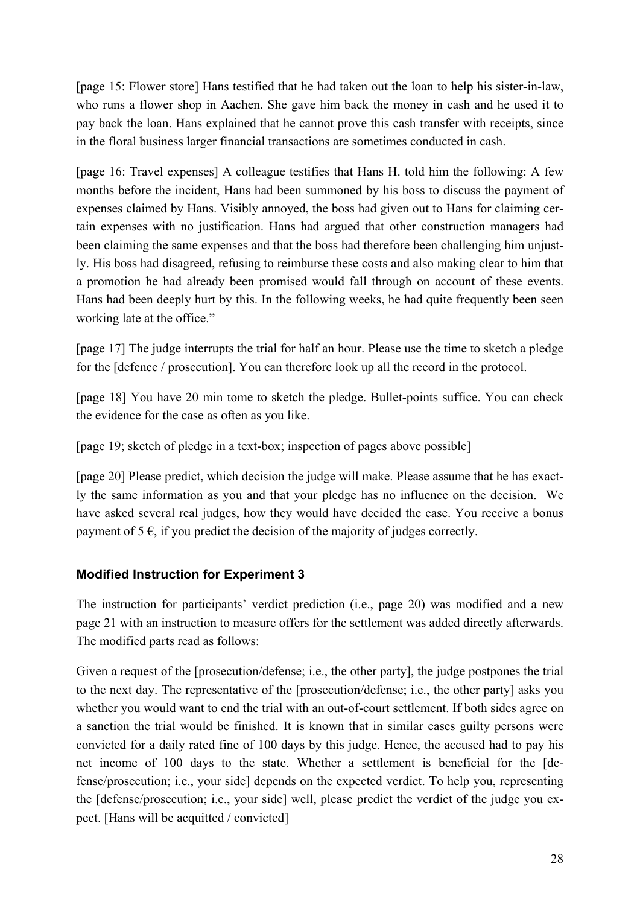[page 15: Flower store] Hans testified that he had taken out the loan to help his sister-in-law, who runs a flower shop in Aachen. She gave him back the money in cash and he used it to pay back the loan. Hans explained that he cannot prove this cash transfer with receipts, since in the floral business larger financial transactions are sometimes conducted in cash.

[page 16: Travel expenses] A colleague testifies that Hans H. told him the following: A few months before the incident, Hans had been summoned by his boss to discuss the payment of expenses claimed by Hans. Visibly annoyed, the boss had given out to Hans for claiming certain expenses with no justification. Hans had argued that other construction managers had been claiming the same expenses and that the boss had therefore been challenging him unjustly. His boss had disagreed, refusing to reimburse these costs and also making clear to him that a promotion he had already been promised would fall through on account of these events. Hans had been deeply hurt by this. In the following weeks, he had quite frequently been seen working late at the office."

[page 17] The judge interrupts the trial for half an hour. Please use the time to sketch a pledge for the [defence / prosecution]. You can therefore look up all the record in the protocol.

[page 18] You have 20 min tome to sketch the pledge. Bullet-points suffice. You can check the evidence for the case as often as you like.

[page 19; sketch of pledge in a text-box; inspection of pages above possible]

[page 20] Please predict, which decision the judge will make. Please assume that he has exactly the same information as you and that your pledge has no influence on the decision. We have asked several real judges, how they would have decided the case. You receive a bonus payment of  $5 \in$ , if you predict the decision of the majority of judges correctly.

## **Modified Instruction for Experiment 3**

The instruction for participants' verdict prediction (i.e., page 20) was modified and a new page 21 with an instruction to measure offers for the settlement was added directly afterwards. The modified parts read as follows:

Given a request of the [prosecution/defense; i.e., the other party], the judge postpones the trial to the next day. The representative of the [prosecution/defense; i.e., the other party] asks you whether you would want to end the trial with an out-of-court settlement. If both sides agree on a sanction the trial would be finished. It is known that in similar cases guilty persons were convicted for a daily rated fine of 100 days by this judge. Hence, the accused had to pay his net income of 100 days to the state. Whether a settlement is beneficial for the [defense/prosecution; i.e., your side] depends on the expected verdict. To help you, representing the [defense/prosecution; i.e., your side] well, please predict the verdict of the judge you expect. [Hans will be acquitted / convicted]